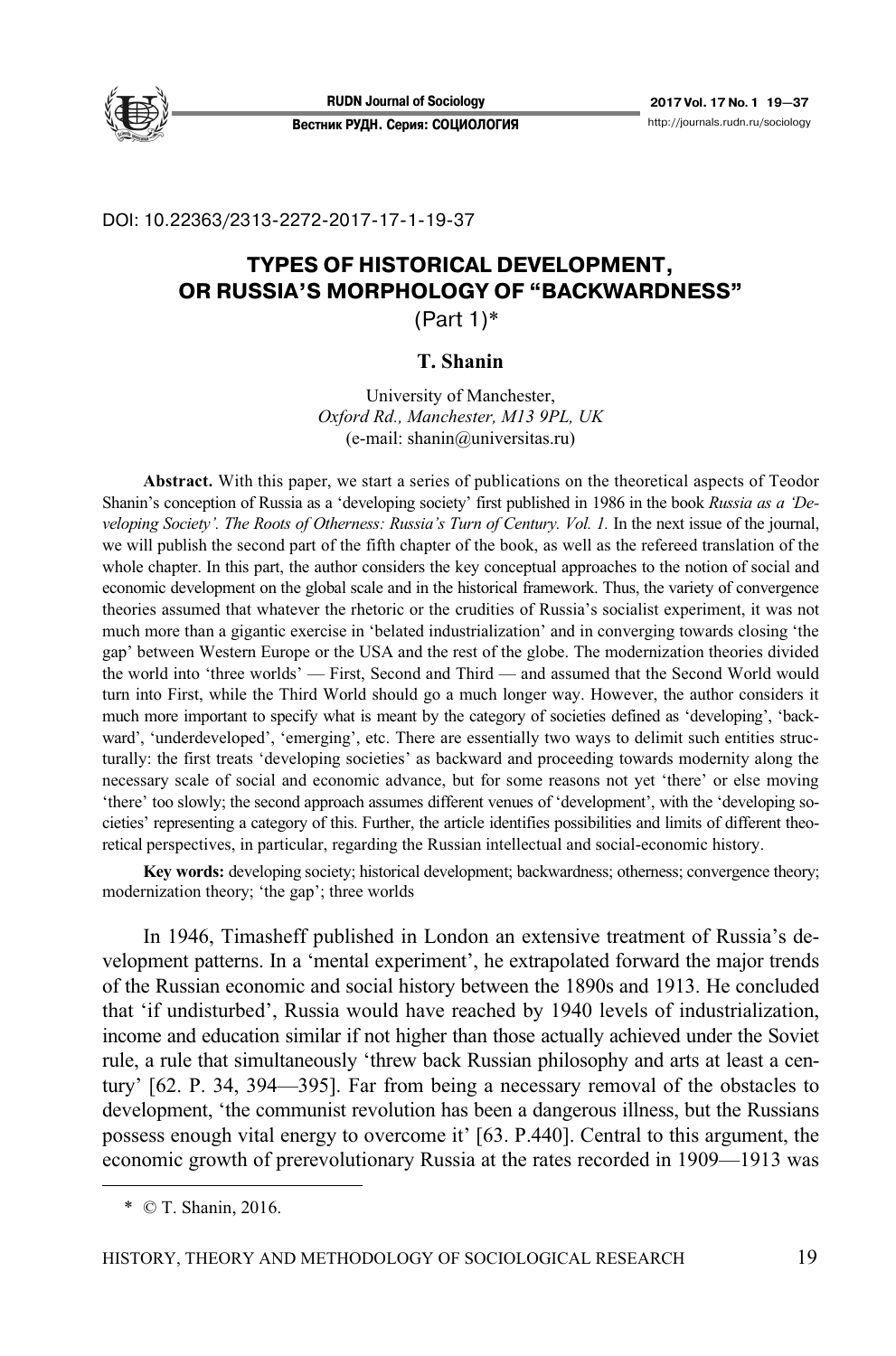

### DOI: 10.22363/2313-2272-2017-17-1-19-37

# **TYPES OF HISTORICAL DEVELOPMENT, OR RUSSIA'S MORPHOLOGY OF "BACKWARDNESS"**

(Part 1)\*

## **T. Shanin**

University of Manchester, *Oxford Rd., Manchester, M13 9PL, UK*  (e-mail: shanin@universitas.ru)

**Abstract.** With this paper, we start a series of publications on the theoretical aspects of Teodor Shanin's conception of Russia as a 'developing society' first published in 1986 in the book *Russia as a 'Developing Society'. The Roots of Otherness: Russia's Turn of Century. Vol. 1.* In the next issue of the journal, we will publish the second part of the fifth chapter of the book, as well as the refereed translation of the whole chapter. In this part, the author considers the key conceptual approaches to the notion of social and economic development on the global scale and in the historical framework. Thus, the variety of convergence theories assumed that whatever the rhetoric or the crudities of Russia's socialist experiment, it was not much more than a gigantic exercise in 'belated industrialization' and in converging towards closing 'the gap' between Western Europe or the USA and the rest of the globe. The modernization theories divided the world into 'three worlds' — First, Second and Third — and assumed that the Second World would turn into First, while the Third World should go a much longer way. However, the author considers it much more important to specify what is meant by the category of societies defined as 'developing', 'backward', 'underdeveloped', 'emerging', etc. There are essentially two ways to delimit such entities structurally: the first treats 'developing societies' as backward and proceeding towards modernity along the necessary scale of social and economic advance, but for some reasons not yet 'there' or else moving 'there' too slowly; the second approach assumes different venues of 'development', with the 'developing societies' representing a category of this. Further, the article identifies possibilities and limits of different theoretical perspectives, in particular, regarding the Russian intellectual and social-economic history.

**Key words:** developing society; historical development; backwardness; otherness; convergence theory; modernization theory; 'the gap'; three worlds

In 1946, Timasheff published in London an extensive treatment of Russia's development patterns. In a 'mental experiment', he extrapolated forward the major trends of the Russian economic and social history between the 1890s and 1913. He concluded that 'if undisturbed', Russia would have reached by 1940 levels of industrialization, income and education similar if not higher than those actually achieved under the Soviet rule, a rule that simultaneously 'threw back Russian philosophy and arts at least a century' [62. P. 34, 394—395]. Far from being a necessary removal of the obstacles to development, 'the communist revolution has been a dangerous illness, but the Russians possess enough vital energy to overcome it' [63. P.440]. Central to this argument, the economic growth of prerevolutionary Russia at the rates recorded in 1909—1913 was

 $\overline{a}$ 

 <sup>\* ©</sup> T. Shanin, 2016.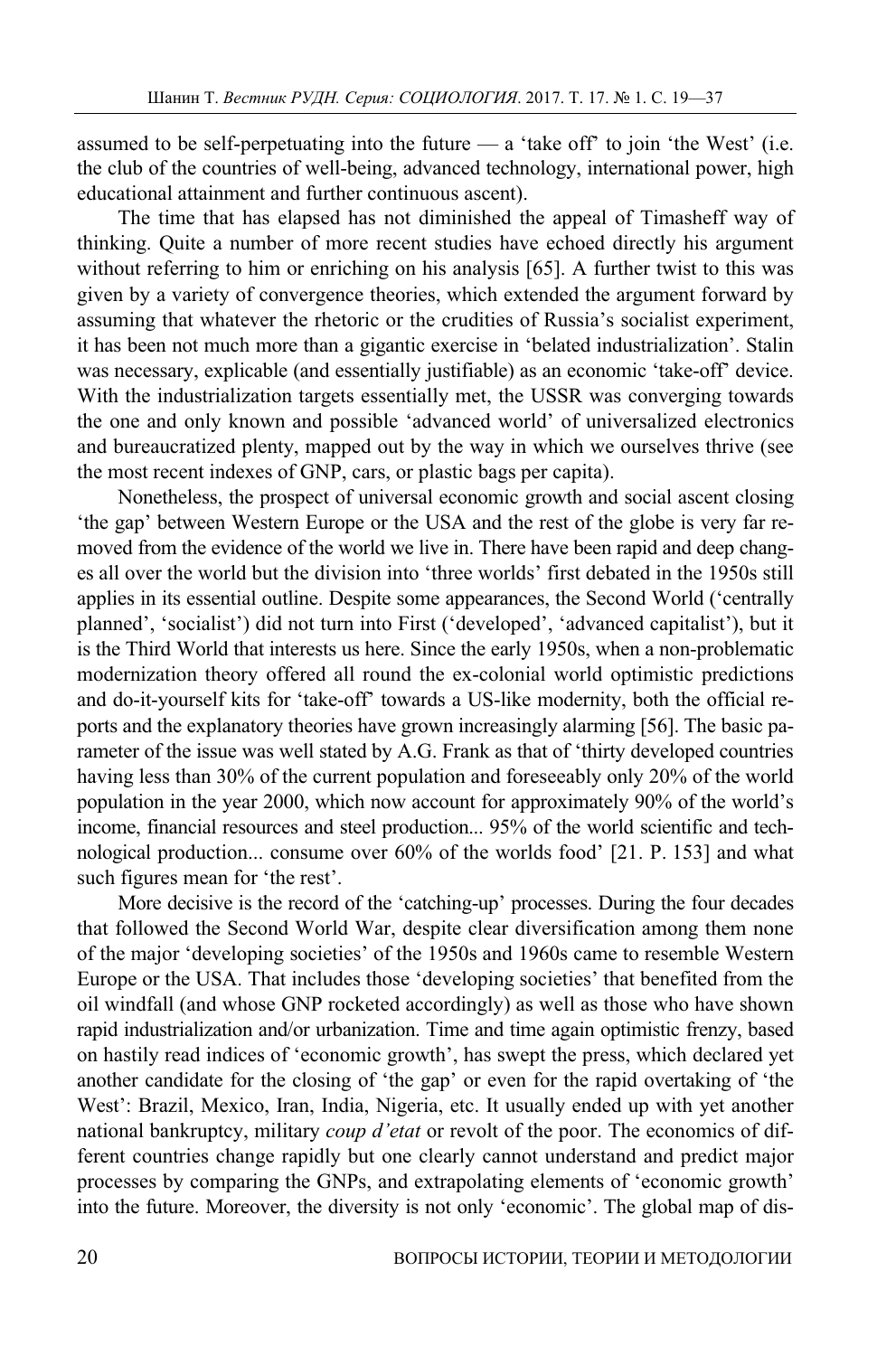assumed to be self-perpetuating into the future  $-$  a 'take off' to join 'the West' (i.e. the club of the countries of well-being, advanced technology, international power, high educational attainment and further continuous ascent).

The time that has elapsed has not diminished the appeal of Timasheff way of thinking. Quite a number of more recent studies have echoed directly his argument without referring to him or enriching on his analysis [65]. A further twist to this was given by a variety of convergence theories, which extended the argument forward by assuming that whatever the rhetoric or the crudities of Russia's socialist experiment, it has been not much more than a gigantic exercise in 'belated industrialization'. Stalin was necessary, explicable (and essentially justifiable) as an economic 'take-off' device. With the industrialization targets essentially met, the USSR was converging towards the one and only known and possible 'advanced world' of universalized electronics and bureaucratized plenty, mapped out by the way in which we ourselves thrive (see the most recent indexes of GNP, cars, or plastic bags per capita).

Nonetheless, the prospect of universal economic growth and social ascent closing 'the gap' between Western Europe or the USA and the rest of the globe is very far removed from the evidence of the world we live in. There have been rapid and deep changes all over the world but the division into 'three worlds' first debated in the 1950s still applies in its essential outline. Despite some appearances, the Second World ('centrally planned', 'socialist') did not turn into First ('developed', 'advanced capitalist'), but it is the Third World that interests us here. Since the early 1950s, when a non-problematic modernization theory offered all round the ex-colonial world optimistic predictions and do-it-yourself kits for 'take-off' towards a US-like modernity, both the official reports and the explanatory theories have grown increasingly alarming [56]. The basic parameter of the issue was well stated by A.G. Frank as that of 'thirty developed countries having less than 30% of the current population and foreseeably only 20% of the world population in the year 2000, which now account for approximately 90% of the world's income, financial resources and steel production... 95% of the world scientific and technological production... consume over 60% of the worlds food' [21. P. 153] and what such figures mean for 'the rest'.

More decisive is the record of the 'catching-up' processes. During the four decades that followed the Second World War, despite clear diversification among them none of the major 'developing societies' of the 1950s and 1960s came to resemble Western Europe or the USA. That includes those 'developing societies' that benefited from the oil windfall (and whose GNP rocketed accordingly) as well as those who have shown rapid industrialization and/or urbanization. Time and time again optimistic frenzy, based on hastily read indices of 'economic growth', has swept the press, which declared yet another candidate for the closing of 'the gap' or even for the rapid overtaking of 'the West': Brazil, Mexico, Iran, India, Nigeria, etc. It usually ended up with yet another national bankruptcy, military *coup d'etat* or revolt of the poor. The economics of different countries change rapidly but one clearly cannot understand and predict major processes by comparing the GNPs, and extrapolating elements of 'economic growth' into the future. Moreover, the diversity is not only 'economic'. The global map of dis-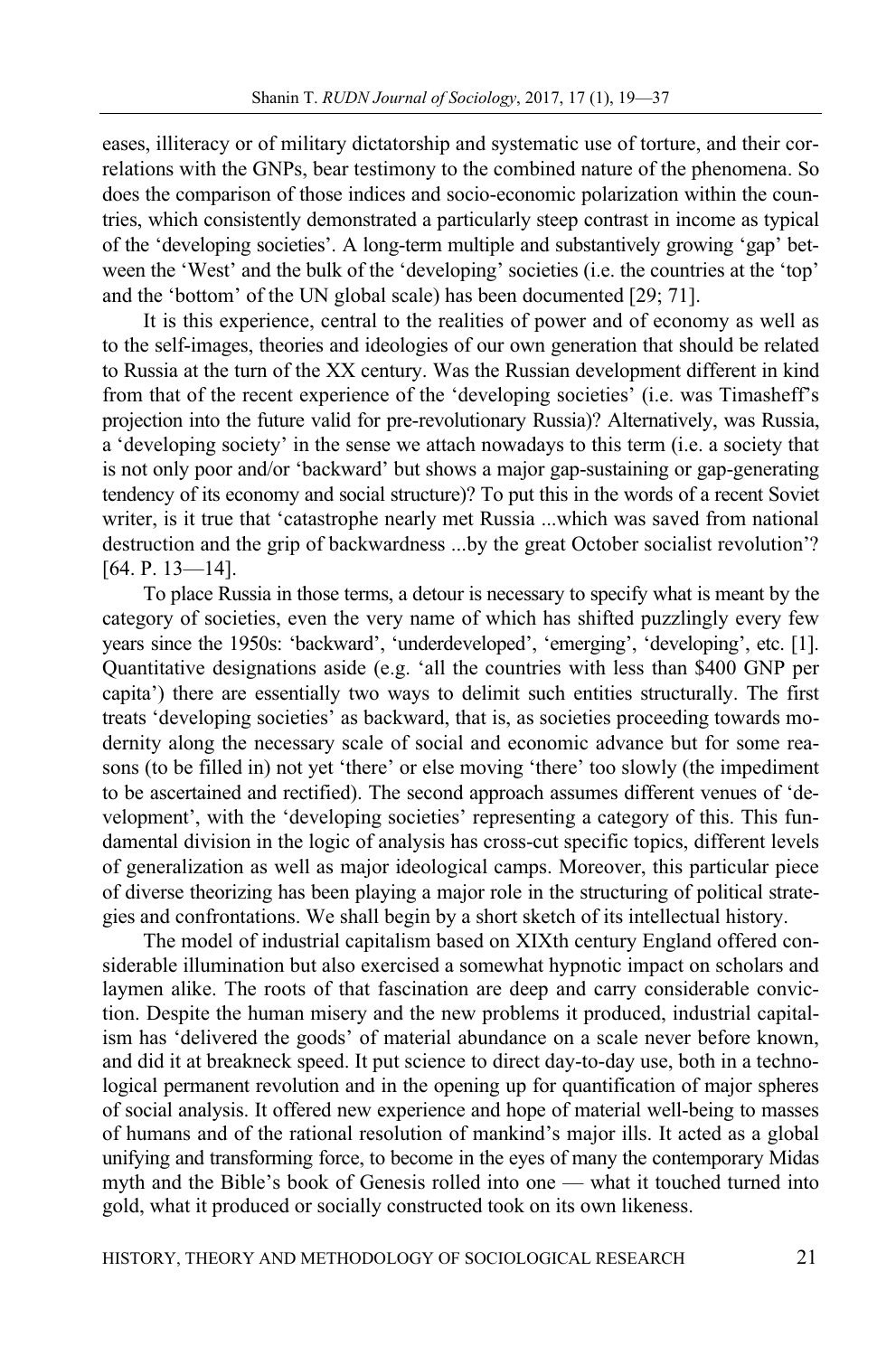eases, illiteracy or of military dictatorship and systematic use of torture, and their correlations with the GNPs, bear testimony to the combined nature of the phenomena. So does the comparison of those indices and socio-economic polarization within the countries, which consistently demonstrated a particularly steep contrast in income as typical of the 'developing societies'. A long-term multiple and substantively growing 'gap' between the 'West' and the bulk of the 'developing' societies (i.e. the countries at the 'top' and the 'bottom' of the UN global scale) has been documented [29; 71].

It is this experience, central to the realities of power and of economy as well as to the self-images, theories and ideologies of our own generation that should be related to Russia at the turn of the XX century. Was the Russian development different in kind from that of the recent experience of the 'developing societies' (i.e. was Timasheff's projection into the future valid for pre-revolutionary Russia)? Alternatively, was Russia, a 'developing society' in the sense we attach nowadays to this term (i.e. a society that is not only poor and/or 'backward' but shows a major gap-sustaining or gap-generating tendency of its economy and social structure)? To put this in the words of a recent Soviet writer, is it true that 'catastrophe nearly met Russia ...which was saved from national destruction and the grip of backwardness ...by the great October socialist revolution'? [64. P. 13-14].

To place Russia in those terms, a detour is necessary to specify what is meant by the category of societies, even the very name of which has shifted puzzlingly every few years since the 1950s: 'backward', 'underdeveloped', 'emerging', 'developing', etc. [1]. Quantitative designations aside (e.g. 'all the countries with less than \$400 GNP per capita') there are essentially two ways to delimit such entities structurally. The first treats 'developing societies' as backward, that is, as societies proceeding towards modernity along the necessary scale of social and economic advance but for some reasons (to be filled in) not yet 'there' or else moving 'there' too slowly (the impediment to be ascertained and rectified). The second approach assumes different venues of 'development', with the 'developing societies' representing a category of this. This fundamental division in the logic of analysis has cross-cut specific topics, different levels of generalization as well as major ideological camps. Moreover, this particular piece of diverse theorizing has been playing a major role in the structuring of political strategies and confrontations. We shall begin by a short sketch of its intellectual history.

The model of industrial capitalism based on XIXth century England offered considerable illumination but also exercised a somewhat hypnotic impact on scholars and laymen alike. The roots of that fascination are deep and carry considerable conviction. Despite the human misery and the new problems it produced, industrial capitalism has 'delivered the goods' of material abundance on a scale never before known, and did it at breakneck speed. It put science to direct day-to-day use, both in a technological permanent revolution and in the opening up for quantification of major spheres of social analysis. It offered new experience and hope of material well-being to masses of humans and of the rational resolution of mankind's major ills. It acted as a global unifying and transforming force, to become in the eyes of many the contemporary Midas myth and the Bible's book of Genesis rolled into one — what it touched turned into gold, what it produced or socially constructed took on its own likeness.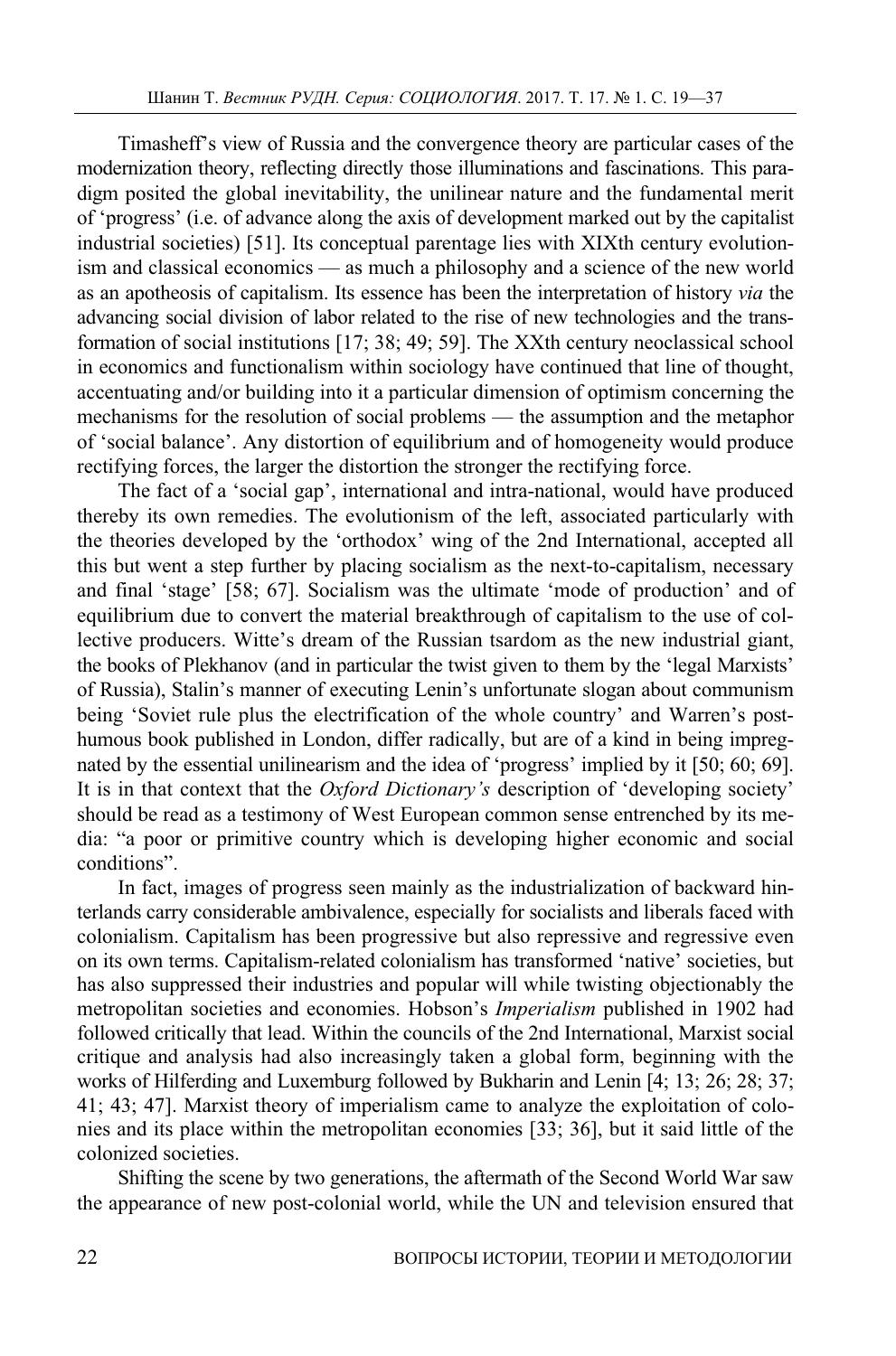Timasheff's view of Russia and the convergence theory are particular cases of the modernization theory, reflecting directly those illuminations and fascinations. This paradigm posited the global inevitability, the unilinear nature and the fundamental merit of 'progress' (i.e. of advance along the axis of development marked out by the capitalist industrial societies) [51]. Its conceptual parentage lies with XIXth century evolutionism and classical economics — as much a philosophy and a science of the new world as an apotheosis of capitalism. Its essence has been the interpretation of history *via* the advancing social division of labor related to the rise of new technologies and the transformation of social institutions [17; 38; 49; 59]. The XXth century neoclassical school in economics and functionalism within sociology have continued that line of thought, accentuating and/or building into it a particular dimension of optimism concerning the mechanisms for the resolution of social problems — the assumption and the metaphor of 'social balance'. Any distortion of equilibrium and of homogeneity would produce rectifying forces, the larger the distortion the stronger the rectifying force.

The fact of a 'social gap', international and intra-national, would have produced thereby its own remedies. The evolutionism of the left, associated particularly with the theories developed by the 'orthodox' wing of the 2nd International, accepted all this but went a step further by placing socialism as the next-to-capitalism, necessary and final 'stage' [58; 67]. Socialism was the ultimate 'mode of production' and of equilibrium due to convert the material breakthrough of capitalism to the use of collective producers. Witte's dream of the Russian tsardom as the new industrial giant, the books of Plekhanov (and in particular the twist given to them by the 'legal Marxists' of Russia), Stalin's manner of executing Lenin's unfortunate slogan about communism being 'Soviet rule plus the electrification of the whole country' and Warren's posthumous book published in London, differ radically, but are of a kind in being impregnated by the essential unilinearism and the idea of 'progress' implied by it [50; 60; 69]. It is in that context that the *Oxford Dictionary's* description of 'developing society' should be read as a testimony of West European common sense entrenched by its media: "a poor or primitive country which is developing higher economic and social conditions".

In fact, images of progress seen mainly as the industrialization of backward hinterlands carry considerable ambivalence, especially for socialists and liberals faced with colonialism. Capitalism has been progressive but also repressive and regressive even on its own terms. Capitalism-related colonialism has transformed 'native' societies, but has also suppressed their industries and popular will while twisting objectionably the metropolitan societies and economies. Hobson's *Imperialism* published in 1902 had followed critically that lead. Within the councils of the 2nd International, Marxist social critique and analysis had also increasingly taken a global form, beginning with the works of Hilferding and Luxemburg followed by Bukharin and Lenin [4; 13; 26; 28; 37; 41; 43; 47]. Marxist theory of imperialism came to analyze the exploitation of colonies and its place within the metropolitan economies [33; 36], but it said little of the colonized societies.

Shifting the scene by two generations, the aftermath of the Second World War saw the appearance of new post-colonial world, while the UN and television ensured that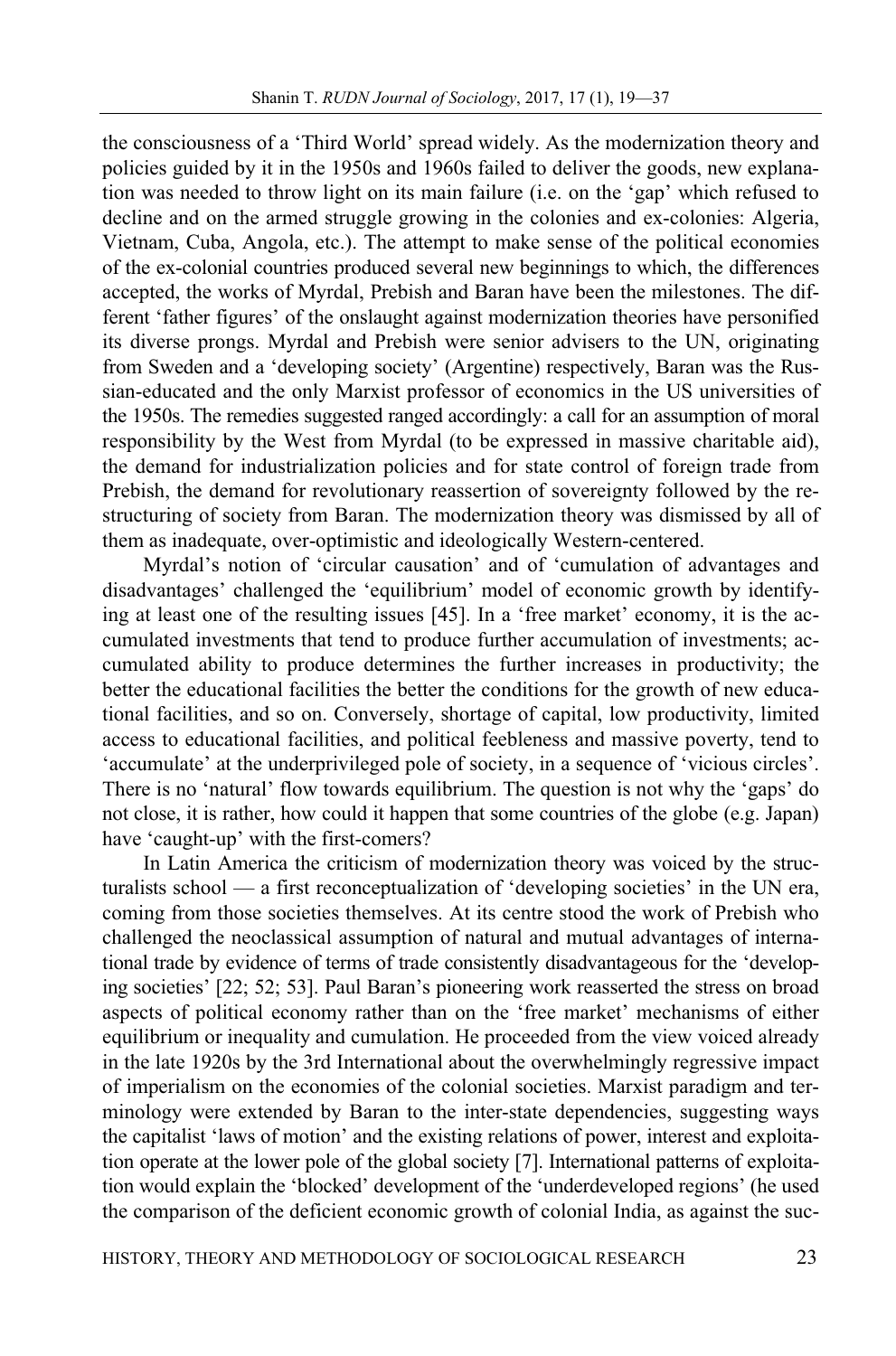the consciousness of a 'Third World' spread widely. As the modernization theory and policies guided by it in the 1950s and 1960s failed to deliver the goods, new explanation was needed to throw light on its main failure (i.e. on the 'gap' which refused to decline and on the armed struggle growing in the colonies and ex-colonies: Algeria, Vietnam, Cuba, Angola, etc.). The attempt to make sense of the political economies of the ex-colonial countries produced several new beginnings to which, the differences accepted, the works of Myrdal, Prebish and Baran have been the milestones. The different 'father figures' of the onslaught against modernization theories have personified its diverse prongs. Myrdal and Prebish were senior advisers to the UN, originating from Sweden and a 'developing society' (Argentine) respectively, Baran was the Russian-educated and the only Marxist professor of economics in the US universities of the 1950s. The remedies suggested ranged accordingly: a call for an assumption of moral responsibility by the West from Myrdal (to be expressed in massive charitable aid), the demand for industrialization policies and for state control of foreign trade from Prebish, the demand for revolutionary reassertion of sovereignty followed by the restructuring of society from Baran. The modernization theory was dismissed by all of them as inadequate, over-optimistic and ideologically Western-centered.

Myrdal's notion of 'circular causation' and of 'cumulation of advantages and disadvantages' challenged the 'equilibrium' model of economic growth by identifying at least one of the resulting issues [45]. In a 'free market' economy, it is the accumulated investments that tend to produce further accumulation of investments; accumulated ability to produce determines the further increases in productivity; the better the educational facilities the better the conditions for the growth of new educational facilities, and so on. Conversely, shortage of capital, low productivity, limited access to educational facilities, and political feebleness and massive poverty, tend to 'accumulate' at the underprivileged pole of society, in a sequence of 'vicious circles'. There is no 'natural' flow towards equilibrium. The question is not why the 'gaps' do not close, it is rather, how could it happen that some countries of the globe (e.g. Japan) have 'caught-up' with the first-comers?

In Latin America the criticism of modernization theory was voiced by the structuralists school — a first reconceptualization of 'developing societies' in the UN era, coming from those societies themselves. At its centre stood the work of Prebish who challenged the neoclassical assumption of natural and mutual advantages of international trade by evidence of terms of trade consistently disadvantageous for the 'developing societies' [22; 52; 53]. Paul Baran's pioneering work reasserted the stress on broad aspects of political economy rather than on the 'free market' mechanisms of either equilibrium or inequality and cumulation. He proceeded from the view voiced already in the late 1920s by the 3rd International about the overwhelmingly regressive impact of imperialism on the economies of the colonial societies. Marxist paradigm and terminology were extended by Baran to the inter-state dependencies, suggesting ways the capitalist 'laws of motion' and the existing relations of power, interest and exploitation operate at the lower pole of the global society [7]. International patterns of exploitation would explain the 'blocked' development of the 'underdeveloped regions' (he used the comparison of the deficient economic growth of colonial India, as against the suc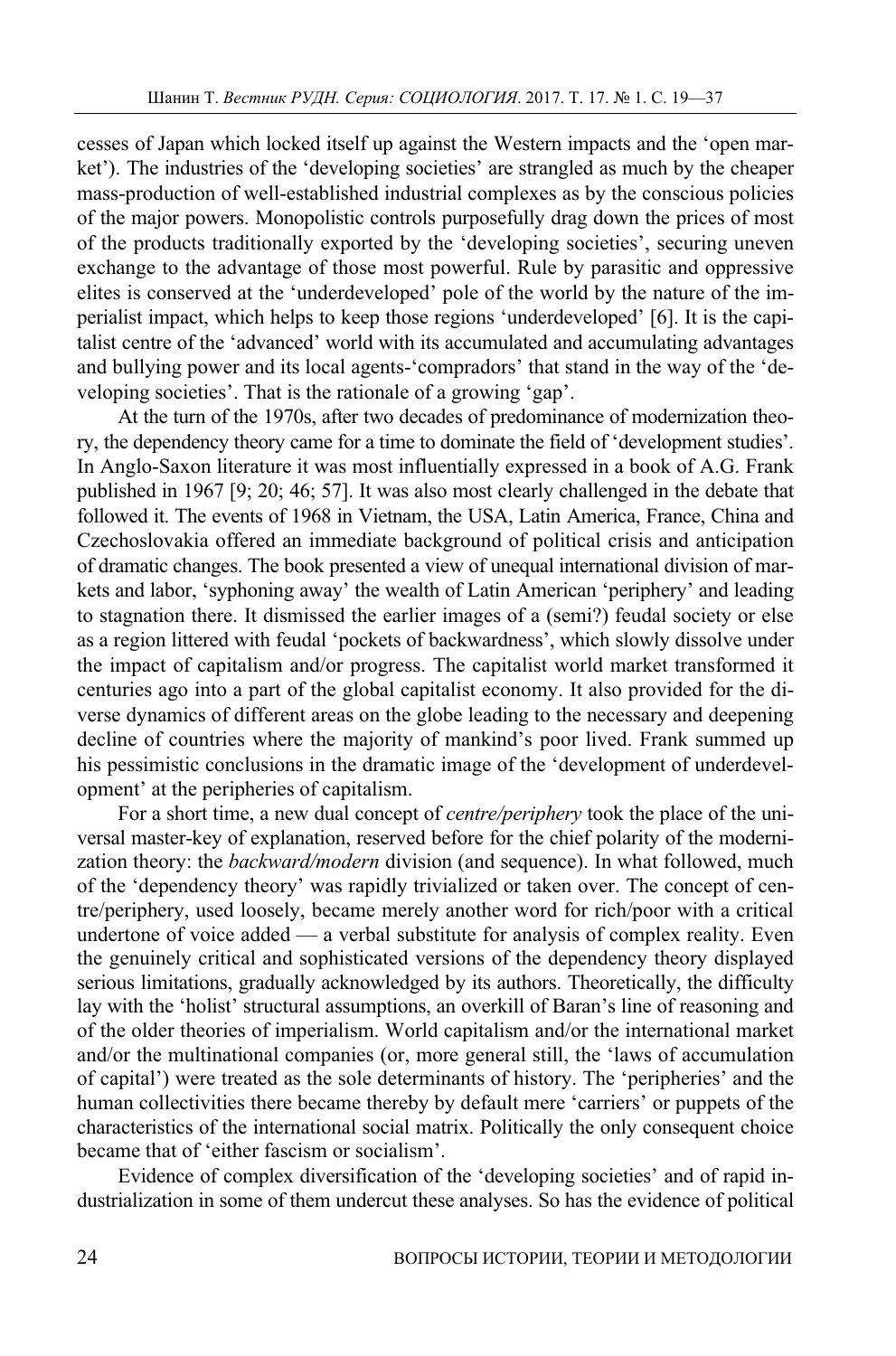cesses of Japan which locked itself up against the Western impacts and the 'open market'). The industries of the 'developing societies' are strangled as much by the cheaper mass-production of well-established industrial complexes as by the conscious policies of the major powers. Monopolistic controls purposefully drag down the prices of most of the products traditionally exported by the 'developing societies', securing uneven exchange to the advantage of those most powerful. Rule by parasitic and oppressive elites is conserved at the 'underdeveloped' pole of the world by the nature of the imperialist impact, which helps to keep those regions 'underdeveloped' [6]. It is the capitalist centre of the 'advanced' world with its accumulated and accumulating advantages and bullying power and its local agents-'compradors' that stand in the way of the 'developing societies'. That is the rationale of a growing 'gap'.

At the turn of the 1970s, after two decades of predominance of modernization theory, the dependency theory came for a time to dominate the field of 'development studies'. In Anglo-Saxon literature it was most influentially expressed in a book of A.G. Frank published in 1967 [9; 20; 46; 57]. It was also most clearly challenged in the debate that followed it. The events of 1968 in Vietnam, the USA, Latin America, France, China and Czechoslovakia offered an immediate background of political crisis and anticipation of dramatic changes. The book presented a view of unequal international division of markets and labor, 'syphoning away' the wealth of Latin American 'periphery' and leading to stagnation there. It dismissed the earlier images of a (semi?) feudal society or else as a region littered with feudal 'pockets of backwardness', which slowly dissolve under the impact of capitalism and/or progress. The capitalist world market transformed it centuries ago into a part of the global capitalist economy. It also provided for the diverse dynamics of different areas on the globe leading to the necessary and deepening decline of countries where the majority of mankind's poor lived. Frank summed up his pessimistic conclusions in the dramatic image of the 'development of underdevelopment' at the peripheries of capitalism.

For a short time, a new dual concept of *centre/periphery* took the place of the universal master-key of explanation, reserved before for the chief polarity of the modernization theory: the *backward/modern* division (and sequence). In what followed, much of the 'dependency theory' was rapidly trivialized or taken over. The concept of centre/periphery, used loosely, became merely another word for rich/poor with a critical undertone of voice added — a verbal substitute for analysis of complex reality. Even the genuinely critical and sophisticated versions of the dependency theory displayed serious limitations, gradually acknowledged by its authors. Theoretically, the difficulty lay with the 'holist' structural assumptions, an overkill of Baran's line of reasoning and of the older theories of imperialism. World capitalism and/or the international market and/or the multinational companies (or, more general still, the 'laws of accumulation of capital') were treated as the sole determinants of history. The 'peripheries' and the human collectivities there became thereby by default mere 'carriers' or puppets of the characteristics of the international social matrix. Politically the only consequent choice became that of 'either fascism or socialism'.

Evidence of complex diversification of the 'developing societies' and of rapid industrialization in some of them undercut these analyses. So has the evidence of political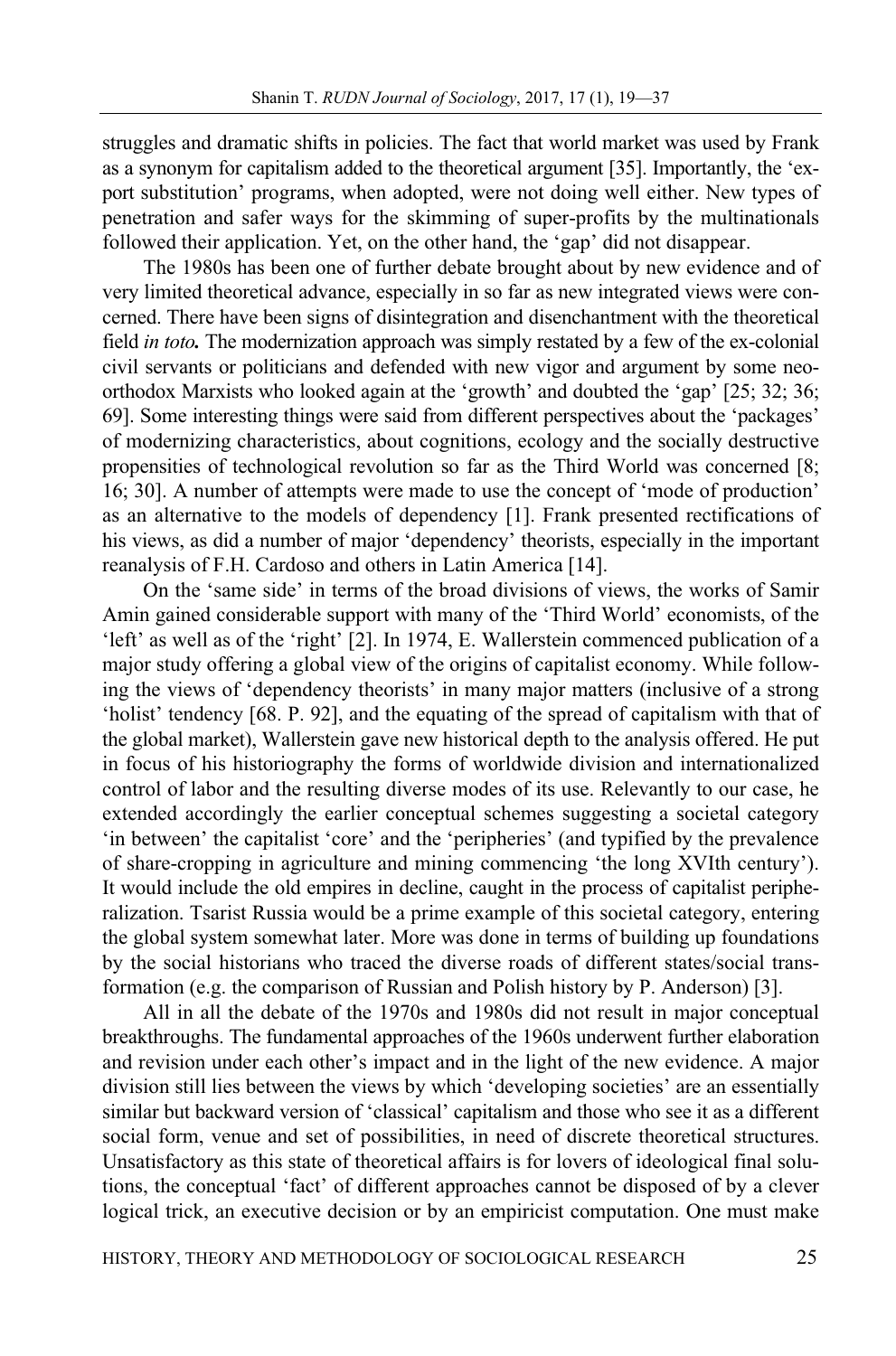struggles and dramatic shifts in policies. The fact that world market was used by Frank as a synonym for capitalism added to the theoretical argument [35]. Importantly, the 'export substitution' programs, when adopted, were not doing well either. New types of penetration and safer ways for the skimming of super-profits by the multinationals followed their application. Yet, on the other hand, the 'gap' did not disappear.

The 1980s has been one of further debate brought about by new evidence and of very limited theoretical advance, especially in so far as new integrated views were concerned. There have been signs of disintegration and disenchantment with the theoretical field *in toto.* The modernization approach was simply restated by a few of the ex-colonial civil servants or politicians and defended with new vigor and argument by some neoorthodox Marxists who looked again at the 'growth' and doubted the 'gap' [25; 32; 36; 69]. Some interesting things were said from different perspectives about the 'packages' of modernizing characteristics, about cognitions, ecology and the socially destructive propensities of technological revolution so far as the Third World was concerned [8; 16; 30]. A number of attempts were made to use the concept of 'mode of production' as an alternative to the models of dependency [1]. Frank presented rectifications of his views, as did a number of major 'dependency' theorists, especially in the important reanalysis of F.H. Cardoso and others in Latin America [14].

On the 'same side' in terms of the broad divisions of views, the works of Samir Amin gained considerable support with many of the 'Third World' economists, of the 'left' as well as of the 'right' [2]. In 1974, E. Wallerstein commenced publication of a major study offering a global view of the origins of capitalist economy. While following the views of 'dependency theorists' in many major matters (inclusive of a strong 'holist' tendency [68. P. 92], and the equating of the spread of capitalism with that of the global market), Wallerstein gave new historical depth to the analysis offered. He put in focus of his historiography the forms of worldwide division and internationalized control of labor and the resulting diverse modes of its use. Relevantly to our case, he extended accordingly the earlier conceptual schemes suggesting a societal category 'in between' the capitalist 'core' and the 'peripheries' (and typified by the prevalence of share-cropping in agriculture and mining commencing 'the long XVIth century'). It would include the old empires in decline, caught in the process of capitalist peripheralization. Tsarist Russia would be a prime example of this societal category, entering the global system somewhat later. More was done in terms of building up foundations by the social historians who traced the diverse roads of different states/social transformation (e.g. the comparison of Russian and Polish history by P. Anderson) [3].

All in all the debate of the 1970s and 1980s did not result in major conceptual breakthroughs. The fundamental approaches of the 1960s underwent further elaboration and revision under each other's impact and in the light of the new evidence. A major division still lies between the views by which 'developing societies' are an essentially similar but backward version of 'classical' capitalism and those who see it as a different social form, venue and set of possibilities, in need of discrete theoretical structures. Unsatisfactory as this state of theoretical affairs is for lovers of ideological final solutions, the conceptual 'fact' of different approaches cannot be disposed of by a clever logical trick, an executive decision or by an empiricist computation. One must make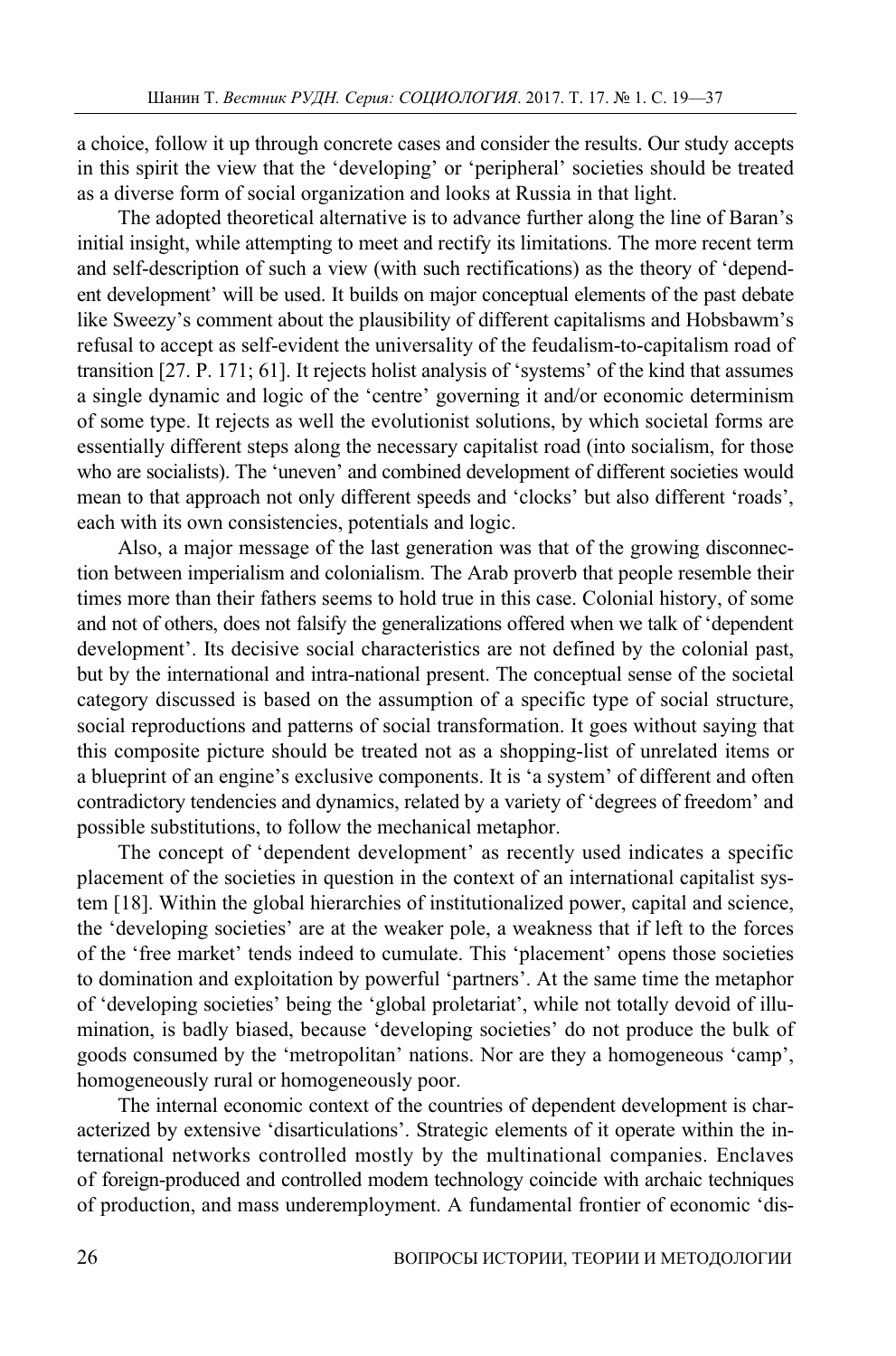a choice, follow it up through concrete cases and consider the results. Our study accepts in this spirit the view that the 'developing' or 'peripheral' societies should be treated as a diverse form of social organization and looks at Russia in that light.

The adopted theoretical alternative is to advance further along the line of Baran's initial insight, while attempting to meet and rectify its limitations. The more recent term and self-description of such a view (with such rectifications) as the theory of 'dependent development' will be used. It builds on major conceptual elements of the past debate like Sweezy's comment about the plausibility of different capitalisms and Hobsbawm's refusal to accept as self-evident the universality of the feudalism-to-capitalism road of transition [27. P. 171; 61]. It rejects holist analysis of 'systems' of the kind that assumes a single dynamic and logic of the 'centre' governing it and/or economic determinism of some type. It rejects as well the evolutionist solutions, by which societal forms are essentially different steps along the necessary capitalist road (into socialism, for those who are socialists). The 'uneven' and combined development of different societies would mean to that approach not only different speeds and 'clocks' but also different 'roads', each with its own consistencies, potentials and logic.

Also, a major message of the last generation was that of the growing disconnection between imperialism and colonialism. The Arab proverb that people resemble their times more than their fathers seems to hold true in this case. Colonial history, of some and not of others, does not falsify the generalizations offered when we talk of 'dependent development'. Its decisive social characteristics are not defined by the colonial past, but by the international and intra-national present. The conceptual sense of the societal category discussed is based on the assumption of a specific type of social structure, social reproductions and patterns of social transformation. It goes without saying that this composite picture should be treated not as a shopping-list of unrelated items or a blueprint of an engine's exclusive components. It is 'a system' of different and often contradictory tendencies and dynamics, related by a variety of 'degrees of freedom' and possible substitutions, to follow the mechanical metaphor.

The concept of 'dependent development' as recently used indicates a specific placement of the societies in question in the context of an international capitalist system [18]. Within the global hierarchies of institutionalized power, capital and science, the 'developing societies' are at the weaker pole, a weakness that if left to the forces of the 'free market' tends indeed to cumulate. This 'placement' opens those societies to domination and exploitation by powerful 'partners'. At the same time the metaphor of 'developing societies' being the 'global proletariat', while not totally devoid of illumination, is badly biased, because 'developing societies' do not produce the bulk of goods consumed by the 'metropolitan' nations. Nor are they a homogeneous 'camp', homogeneously rural or homogeneously poor.

The internal economic context of the countries of dependent development is characterized by extensive 'disarticulations'. Strategic elements of it operate within the international networks controlled mostly by the multinational companies. Enclaves of foreign-produced and controlled modem technology coincide with archaic techniques of production, and mass underemployment. A fundamental frontier of economic 'dis-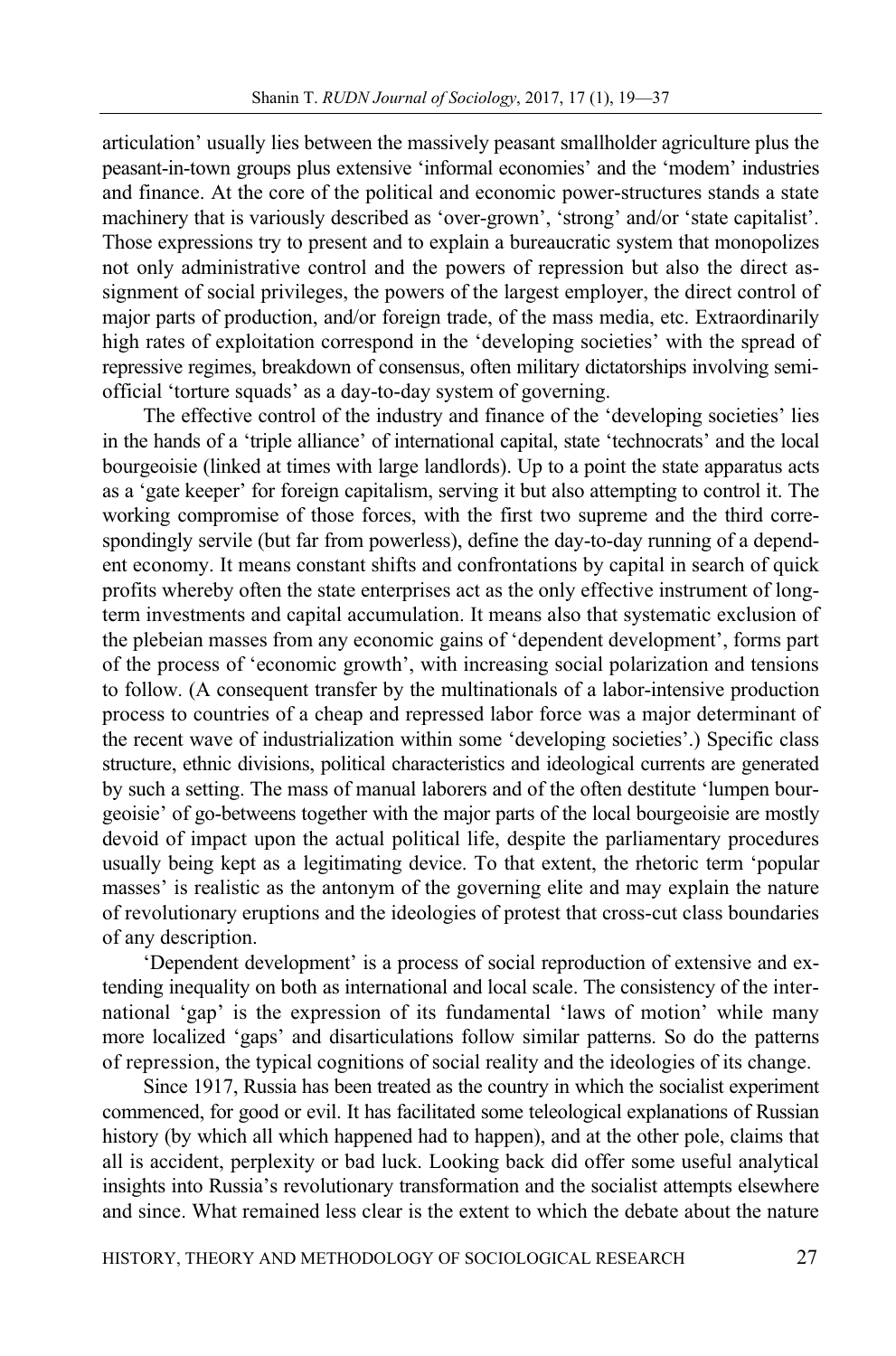articulation' usually lies between the massively peasant smallholder agriculture plus the peasant-in-town groups plus extensive 'informal economies' and the 'modem' industries and finance. At the core of the political and economic power-structures stands a state machinery that is variously described as 'over-grown', 'strong' and/or 'state capitalist'. Those expressions try to present and to explain a bureaucratic system that monopolizes not only administrative control and the powers of repression but also the direct assignment of social privileges, the powers of the largest employer, the direct control of major parts of production, and/or foreign trade, of the mass media, etc. Extraordinarily high rates of exploitation correspond in the 'developing societies' with the spread of repressive regimes, breakdown of consensus, often military dictatorships involving semiofficial 'torture squads' as a day-to-day system of governing.

The effective control of the industry and finance of the 'developing societies' lies in the hands of a 'triple alliance' of international capital, state 'technocrats' and the local bourgeoisie (linked at times with large landlords). Up to a point the state apparatus acts as a 'gate keeper' for foreign capitalism, serving it but also attempting to control it. The working compromise of those forces, with the first two supreme and the third correspondingly servile (but far from powerless), define the day-to-day running of a dependent economy. It means constant shifts and confrontations by capital in search of quick profits whereby often the state enterprises act as the only effective instrument of longterm investments and capital accumulation. It means also that systematic exclusion of the plebeian masses from any economic gains of 'dependent development', forms part of the process of 'economic growth', with increasing social polarization and tensions to follow. (A consequent transfer by the multinationals of a labor-intensive production process to countries of a cheap and repressed labor force was a major determinant of the recent wave of industrialization within some 'developing societies'.) Specific class structure, ethnic divisions, political characteristics and ideological currents are generated by such a setting. The mass of manual laborers and of the often destitute 'lumpen bourgeoisie' of go-betweens together with the major parts of the local bourgeoisie are mostly devoid of impact upon the actual political life, despite the parliamentary procedures usually being kept as a legitimating device. To that extent, the rhetoric term 'popular masses' is realistic as the antonym of the governing elite and may explain the nature of revolutionary eruptions and the ideologies of protest that cross-cut class boundaries of any description.

'Dependent development' is a process of social reproduction of extensive and extending inequality on both as international and local scale. The consistency of the international 'gap' is the expression of its fundamental 'laws of motion' while many more localized 'gaps' and disarticulations follow similar patterns. So do the patterns of repression, the typical cognitions of social reality and the ideologies of its change.

Since 1917, Russia has been treated as the country in which the socialist experiment commenced, for good or evil. It has facilitated some teleological explanations of Russian history (by which all which happened had to happen), and at the other pole, claims that all is accident, perplexity or bad luck. Looking back did offer some useful analytical insights into Russia's revolutionary transformation and the socialist attempts elsewhere and since. What remained less clear is the extent to which the debate about the nature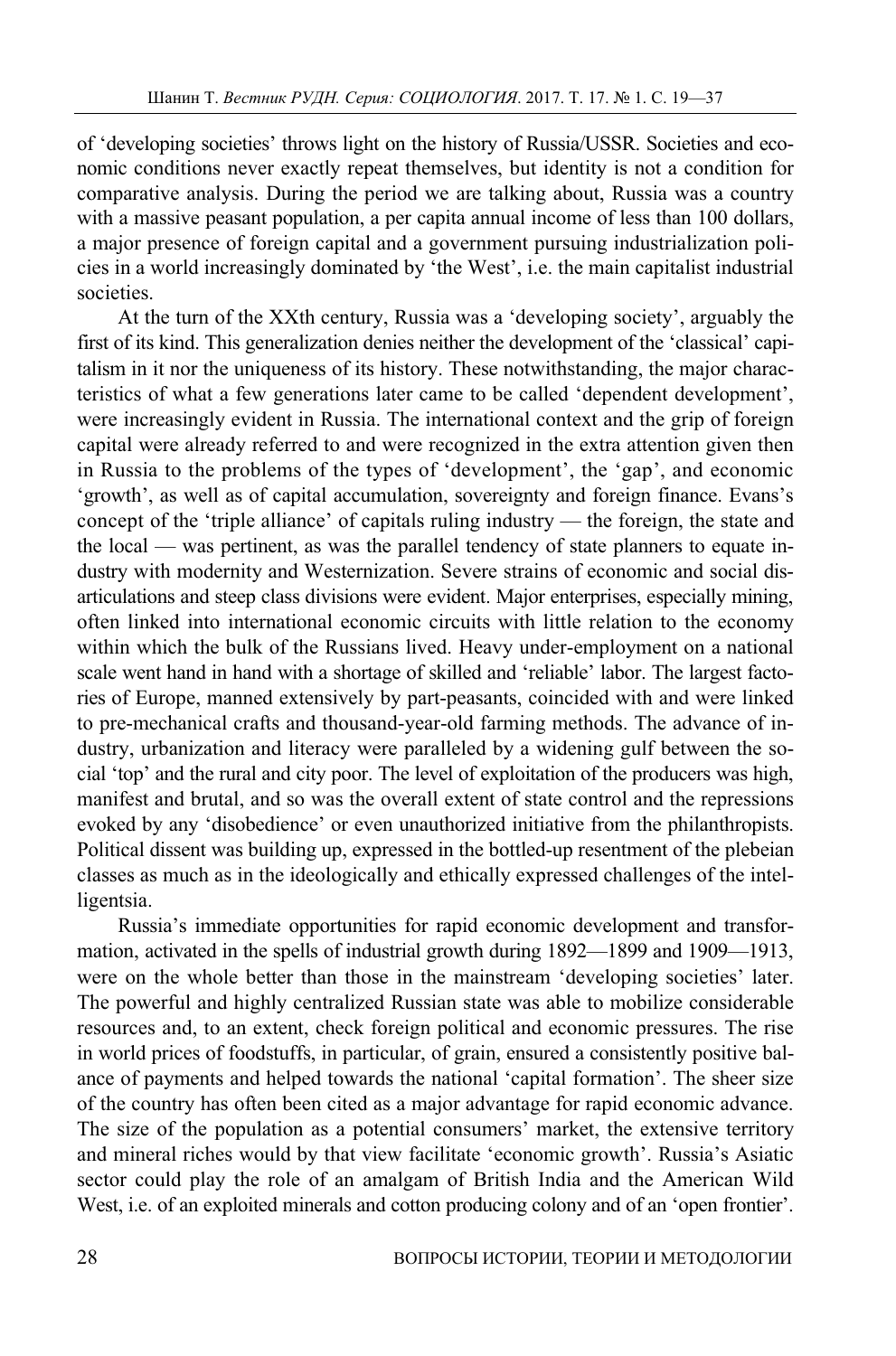of 'developing societies' throws light on the history of Russia/USSR. Societies and economic conditions never exactly repeat themselves, but identity is not a condition for comparative analysis. During the period we are talking about, Russia was a country with a massive peasant population, a per capita annual income of less than 100 dollars, a major presence of foreign capital and a government pursuing industrialization policies in a world increasingly dominated by 'the West', i.e. the main capitalist industrial societies.

At the turn of the XXth century, Russia was a 'developing society', arguably the first of its kind. This generalization denies neither the development of the 'classical' capitalism in it nor the uniqueness of its history. These notwithstanding, the major characteristics of what a few generations later came to be called 'dependent development', were increasingly evident in Russia. The international context and the grip of foreign capital were already referred to and were recognized in the extra attention given then in Russia to the problems of the types of 'development', the 'gap', and economic 'growth', as well as of capital accumulation, sovereignty and foreign finance. Evans's concept of the 'triple alliance' of capitals ruling industry — the foreign, the state and the local — was pertinent, as was the parallel tendency of state planners to equate industry with modernity and Westernization. Severe strains of economic and social disarticulations and steep class divisions were evident. Major enterprises, especially mining, often linked into international economic circuits with little relation to the economy within which the bulk of the Russians lived. Heavy under-employment on a national scale went hand in hand with a shortage of skilled and 'reliable' labor. The largest factories of Europe, manned extensively by part-peasants, coincided with and were linked to pre-mechanical crafts and thousand-year-old farming methods. The advance of industry, urbanization and literacy were paralleled by a widening gulf between the social 'top' and the rural and city poor. The level of exploitation of the producers was high, manifest and brutal, and so was the overall extent of state control and the repressions evoked by any 'disobedience' or even unauthorized initiative from the philanthropists. Political dissent was building up, expressed in the bottled-up resentment of the plebeian classes as much as in the ideologically and ethically expressed challenges of the intelligentsia.

Russia's immediate opportunities for rapid economic development and transformation, activated in the spells of industrial growth during 1892—1899 and 1909—1913, were on the whole better than those in the mainstream 'developing societies' later. The powerful and highly centralized Russian state was able to mobilize considerable resources and, to an extent, check foreign political and economic pressures. The rise in world prices of foodstuffs, in particular, of grain, ensured a consistently positive balance of payments and helped towards the national 'capital formation'. The sheer size of the country has often been cited as a major advantage for rapid economic advance. The size of the population as a potential consumers' market, the extensive territory and mineral riches would by that view facilitate 'economic growth'. Russia's Asiatic sector could play the role of an amalgam of British India and the American Wild West, i.e. of an exploited minerals and cotton producing colony and of an 'open frontier'.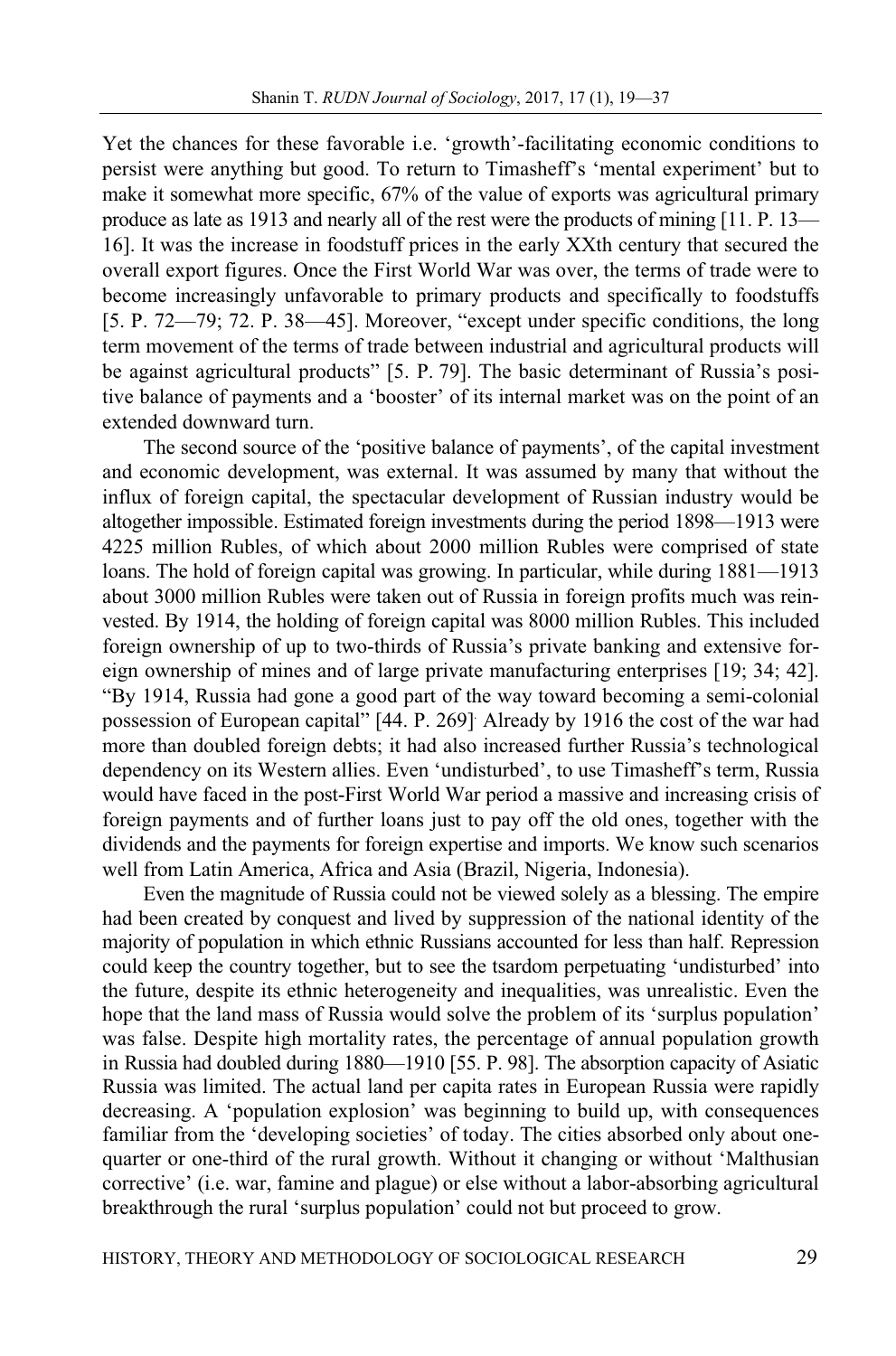Yet the chances for these favorable i.e. 'growth'-facilitating economic conditions to persist were anything but good. To return to Timasheff's 'mental experiment' but to make it somewhat more specific, 67% of the value of exports was agricultural primary produce as late as 1913 and nearly all of the rest were the products of mining [11. P. 13— 16]. It was the increase in foodstuff prices in the early XXth century that secured the overall export figures. Once the First World War was over, the terms of trade were to become increasingly unfavorable to primary products and specifically to foodstuffs [5. P. 72—79; 72. P. 38—45]. Moreover, "except under specific conditions, the long term movement of the terms of trade between industrial and agricultural products will be against agricultural products" [5. P. 79]. The basic determinant of Russia's positive balance of payments and a 'booster' of its internal market was on the point of an extended downward turn.

The second source of the 'positive balance of payments', of the capital investment and economic development, was external. It was assumed by many that without the influx of foreign capital, the spectacular development of Russian industry would be altogether impossible. Estimated foreign investments during the period 1898—1913 were 4225 million Rubles, of which about 2000 million Rubles were comprised of state loans. The hold of foreign capital was growing. In particular, while during 1881—1913 about 3000 million Rubles were taken out of Russia in foreign profits much was reinvested. By 1914, the holding of foreign capital was 8000 million Rubles. This included foreign ownership of up to two-thirds of Russia's private banking and extensive foreign ownership of mines and of large private manufacturing enterprises [19; 34; 42]. "By 1914, Russia had gone a good part of the way toward becoming a semi-colonial possession of European capital" [44. P. 269]. Already by 1916 the cost of the war had more than doubled foreign debts; it had also increased further Russia's technological dependency on its Western allies. Even 'undisturbed', to use Timasheff's term, Russia would have faced in the post-First World War period a massive and increasing crisis of foreign payments and of further loans just to pay off the old ones, together with the dividends and the payments for foreign expertise and imports. We know such scenarios well from Latin America, Africa and Asia (Brazil, Nigeria, Indonesia).

Even the magnitude of Russia could not be viewed solely as a blessing. The empire had been created by conquest and lived by suppression of the national identity of the majority of population in which ethnic Russians accounted for less than half. Repression could keep the country together, but to see the tsardom perpetuating 'undisturbed' into the future, despite its ethnic heterogeneity and inequalities, was unrealistic. Even the hope that the land mass of Russia would solve the problem of its 'surplus population' was false. Despite high mortality rates, the percentage of annual population growth in Russia had doubled during 1880—1910 [55. P. 98]. The absorption capacity of Asiatic Russia was limited. The actual land per capita rates in European Russia were rapidly decreasing. A 'population explosion' was beginning to build up, with consequences familiar from the 'developing societies' of today. The cities absorbed only about onequarter or one-third of the rural growth. Without it changing or without 'Malthusian corrective' (i.e. war, famine and plague) or else without a labor-absorbing agricultural breakthrough the rural 'surplus population' could not but proceed to grow.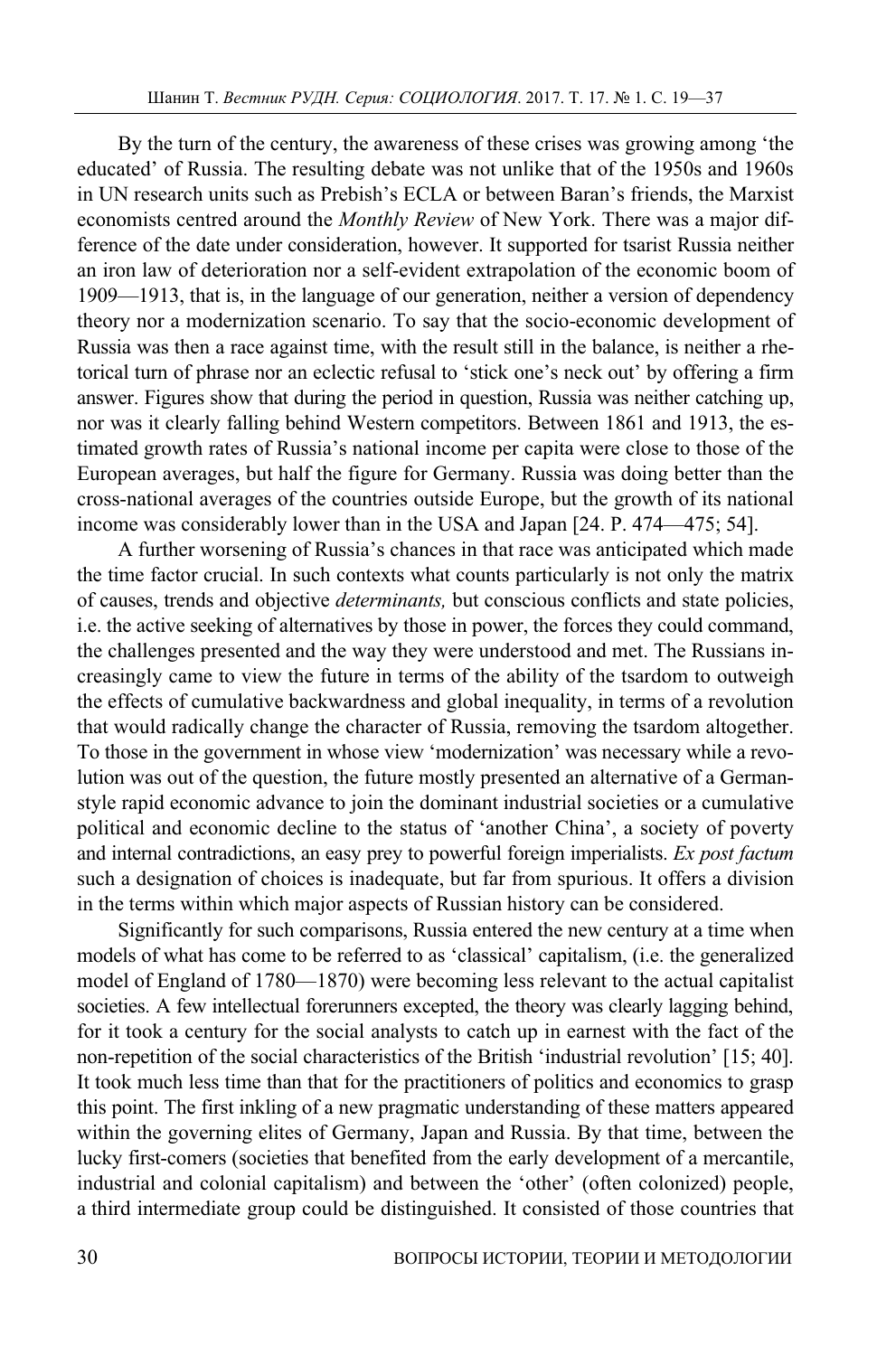By the turn of the century, the awareness of these crises was growing among 'the educated' of Russia. The resulting debate was not unlike that of the 1950s and 1960s in UN research units such as Prebish's ECLA or between Baran's friends, the Marxist economists centred around the *Monthly Review* of New York. There was a major difference of the date under consideration, however. It supported for tsarist Russia neither an iron law of deterioration nor a self-evident extrapolation of the economic boom of 1909—1913, that is, in the language of our generation, neither a version of dependency theory nor a modernization scenario. To say that the socio-economic development of Russia was then a race against time, with the result still in the balance, is neither a rhetorical turn of phrase nor an eclectic refusal to 'stick one's neck out' by offering a firm answer. Figures show that during the period in question, Russia was neither catching up, nor was it clearly falling behind Western competitors. Between 1861 and 1913, the estimated growth rates of Russia's national income per capita were close to those of the European averages, but half the figure for Germany. Russia was doing better than the cross-national averages of the countries outside Europe, but the growth of its national income was considerably lower than in the USA and Japan [24. P. 474—475; 54].

A further worsening of Russia's chances in that race was anticipated which made the time factor crucial. In such contexts what counts particularly is not only the matrix of causes, trends and objective *determinants,* but conscious conflicts and state policies, i.e. the active seeking of alternatives by those in power, the forces they could command, the challenges presented and the way they were understood and met. The Russians increasingly came to view the future in terms of the ability of the tsardom to outweigh the effects of cumulative backwardness and global inequality, in terms of a revolution that would radically change the character of Russia, removing the tsardom altogether. To those in the government in whose view 'modernization' was necessary while a revolution was out of the question, the future mostly presented an alternative of a Germanstyle rapid economic advance to join the dominant industrial societies or a cumulative political and economic decline to the status of 'another China', a society of poverty and internal contradictions, an easy prey to powerful foreign imperialists. *Ex post factum* such a designation of choices is inadequate, but far from spurious. It offers a division in the terms within which major aspects of Russian history can be considered.

Significantly for such comparisons, Russia entered the new century at a time when models of what has come to be referred to as 'classical' capitalism, (i.e. the generalized model of England of 1780—1870) were becoming less relevant to the actual capitalist societies. A few intellectual forerunners excepted, the theory was clearly lagging behind, for it took a century for the social analysts to catch up in earnest with the fact of the non-repetition of the social characteristics of the British 'industrial revolution' [15; 40]. It took much less time than that for the practitioners of politics and economics to grasp this point. The first inkling of a new pragmatic understanding of these matters appeared within the governing elites of Germany, Japan and Russia. By that time, between the lucky first-comers (societies that benefited from the early development of a mercantile, industrial and colonial capitalism) and between the 'other' (often colonized) people, a third intermediate group could be distinguished. It consisted of those countries that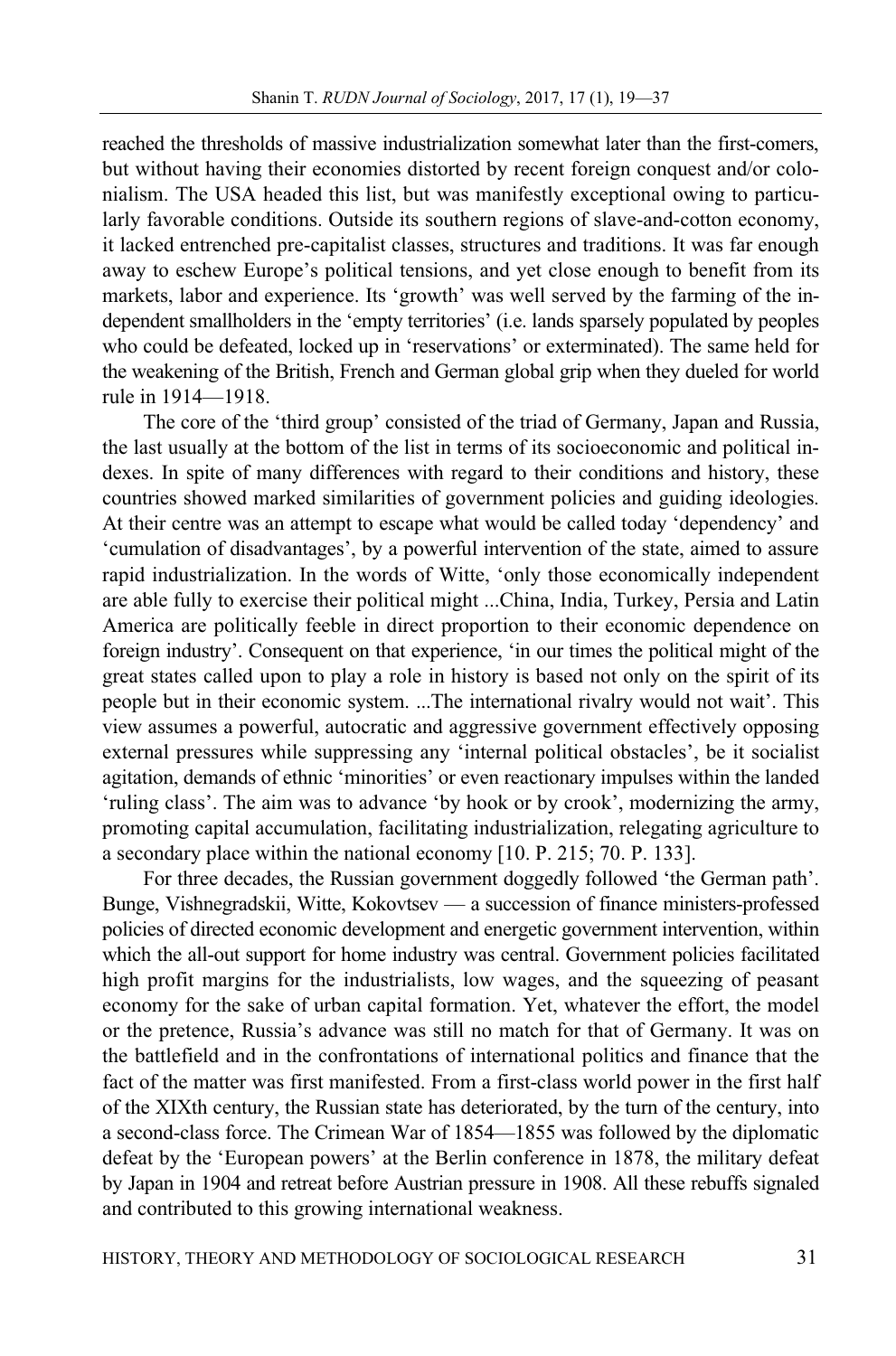reached the thresholds of massive industrialization somewhat later than the first-comers, but without having their economies distorted by recent foreign conquest and/or colonialism. The USA headed this list, but was manifestly exceptional owing to particularly favorable conditions. Outside its southern regions of slave-and-cotton economy, it lacked entrenched pre-capitalist classes, structures and traditions. It was far enough away to eschew Europe's political tensions, and yet close enough to benefit from its markets, labor and experience. Its 'growth' was well served by the farming of the independent smallholders in the 'empty territories' (i.e. lands sparsely populated by peoples who could be defeated, locked up in 'reservations' or exterminated). The same held for the weakening of the British, French and German global grip when they dueled for world rule in 1914—1918.

The core of the 'third group' consisted of the triad of Germany, Japan and Russia, the last usually at the bottom of the list in terms of its socioeconomic and political indexes. In spite of many differences with regard to their conditions and history, these countries showed marked similarities of government policies and guiding ideologies. At their centre was an attempt to escape what would be called today 'dependency' and 'cumulation of disadvantages', by a powerful intervention of the state, aimed to assure rapid industrialization. In the words of Witte, 'only those economically independent are able fully to exercise their political might ...China, India, Turkey, Persia and Latin America are politically feeble in direct proportion to their economic dependence on foreign industry'. Consequent on that experience, 'in our times the political might of the great states called upon to play a role in history is based not only on the spirit of its people but in their economic system. ...The international rivalry would not wait'. This view assumes a powerful, autocratic and aggressive government effectively opposing external pressures while suppressing any 'internal political obstacles', be it socialist agitation, demands of ethnic 'minorities' or even reactionary impulses within the landed 'ruling class'. The aim was to advance 'by hook or by crook', modernizing the army, promoting capital accumulation, facilitating industrialization, relegating agriculture to a secondary place within the national economy [10. P. 215; 70. P. 133].

For three decades, the Russian government doggedly followed 'the German path'. Bunge, Vishnegradskii, Witte, Kokovtsev — a succession of finance ministers-professed policies of directed economic development and energetic government intervention, within which the all-out support for home industry was central. Government policies facilitated high profit margins for the industrialists, low wages, and the squeezing of peasant economy for the sake of urban capital formation. Yet, whatever the effort, the model or the pretence, Russia's advance was still no match for that of Germany. It was on the battlefield and in the confrontations of international politics and finance that the fact of the matter was first manifested. From a first-class world power in the first half of the XIXth century, the Russian state has deteriorated, by the turn of the century, into a second-class force. The Crimean War of 1854—1855 was followed by the diplomatic defeat by the 'European powers' at the Berlin conference in 1878, the military defeat by Japan in 1904 and retreat before Austrian pressure in 1908. All these rebuffs signaled and contributed to this growing international weakness.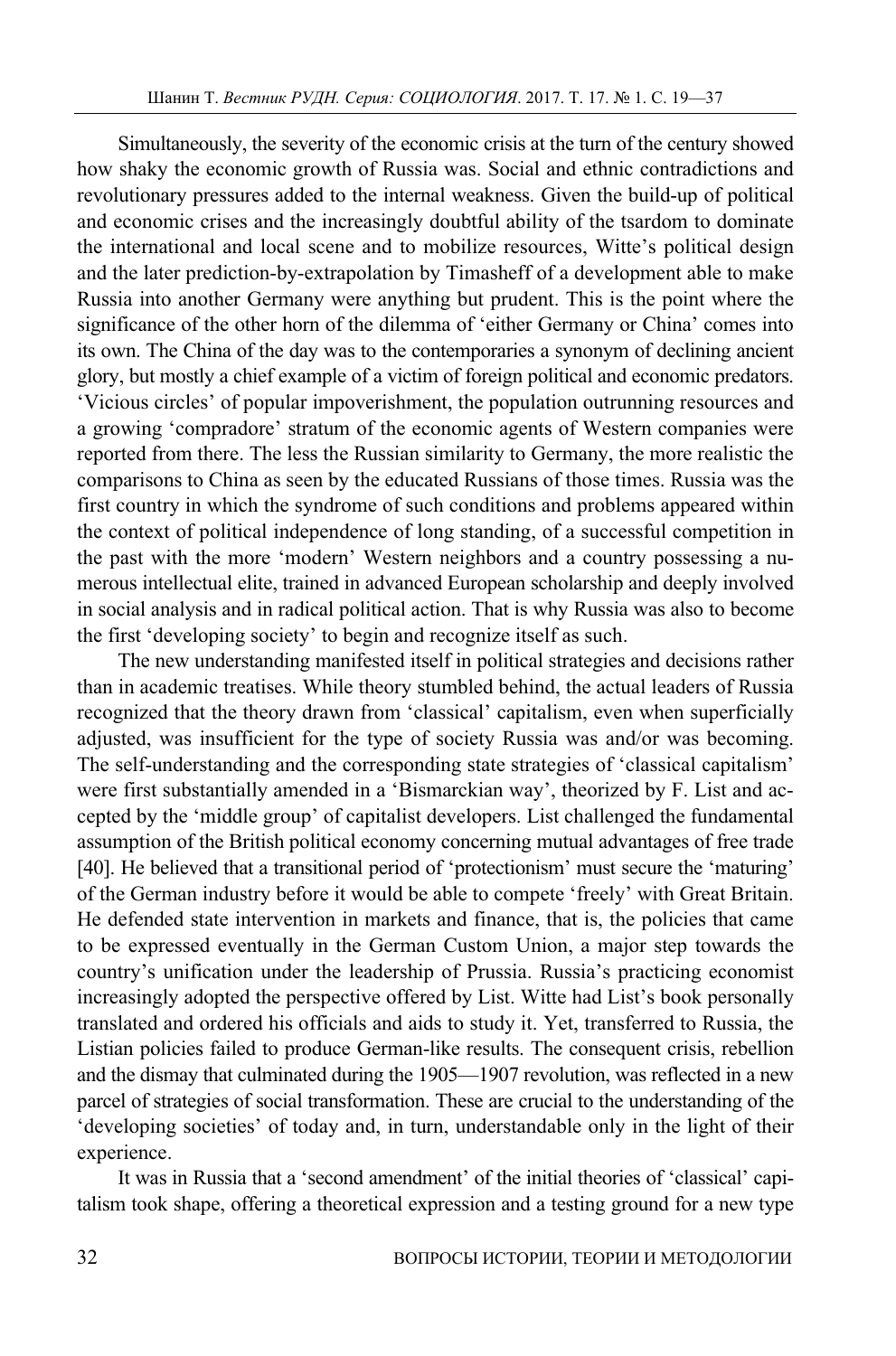Simultaneously, the severity of the economic crisis at the turn of the century showed how shaky the economic growth of Russia was. Social and ethnic contradictions and revolutionary pressures added to the internal weakness. Given the build-up of political and economic crises and the increasingly doubtful ability of the tsardom to dominate the international and local scene and to mobilize resources, Witte's political design and the later prediction-by-extrapolation by Timasheff of a development able to make Russia into another Germany were anything but prudent. This is the point where the significance of the other horn of the dilemma of 'either Germany or China' comes into its own. The China of the day was to the contemporaries a synonym of declining ancient glory, but mostly a chief example of a victim of foreign political and economic predators. 'Vicious circles' of popular impoverishment, the population outrunning resources and a growing 'compradore' stratum of the economic agents of Western companies were reported from there. The less the Russian similarity to Germany, the more realistic the comparisons to China as seen by the educated Russians of those times. Russia was the first country in which the syndrome of such conditions and problems appeared within the context of political independence of long standing, of a successful competition in the past with the more 'modern' Western neighbors and a country possessing a numerous intellectual elite, trained in advanced European scholarship and deeply involved in social analysis and in radical political action. That is why Russia was also to become the first 'developing society' to begin and recognize itself as such.

The new understanding manifested itself in political strategies and decisions rather than in academic treatises. While theory stumbled behind, the actual leaders of Russia recognized that the theory drawn from 'classical' capitalism, even when superficially adjusted, was insufficient for the type of society Russia was and/or was becoming. The self-understanding and the corresponding state strategies of 'classical capitalism' were first substantially amended in a 'Bismarckian way', theorized by F. List and accepted by the 'middle group' of capitalist developers. List challenged the fundamental assumption of the British political economy concerning mutual advantages of free trade [40]. He believed that a transitional period of 'protectionism' must secure the 'maturing' of the German industry before it would be able to compete 'freely' with Great Britain. He defended state intervention in markets and finance, that is, the policies that came to be expressed eventually in the German Custom Union, a major step towards the country's unification under the leadership of Prussia. Russia's practicing economist increasingly adopted the perspective offered by List. Witte had List's book personally translated and ordered his officials and aids to study it. Yet, transferred to Russia, the Listian policies failed to produce German-like results. The consequent crisis, rebellion and the dismay that culminated during the 1905—1907 revolution, was reflected in a new parcel of strategies of social transformation. These are crucial to the understanding of the 'developing societies' of today and, in turn, understandable only in the light of their experience.

It was in Russia that a 'second amendment' of the initial theories of 'classical' capitalism took shape, offering a theoretical expression and a testing ground for a new type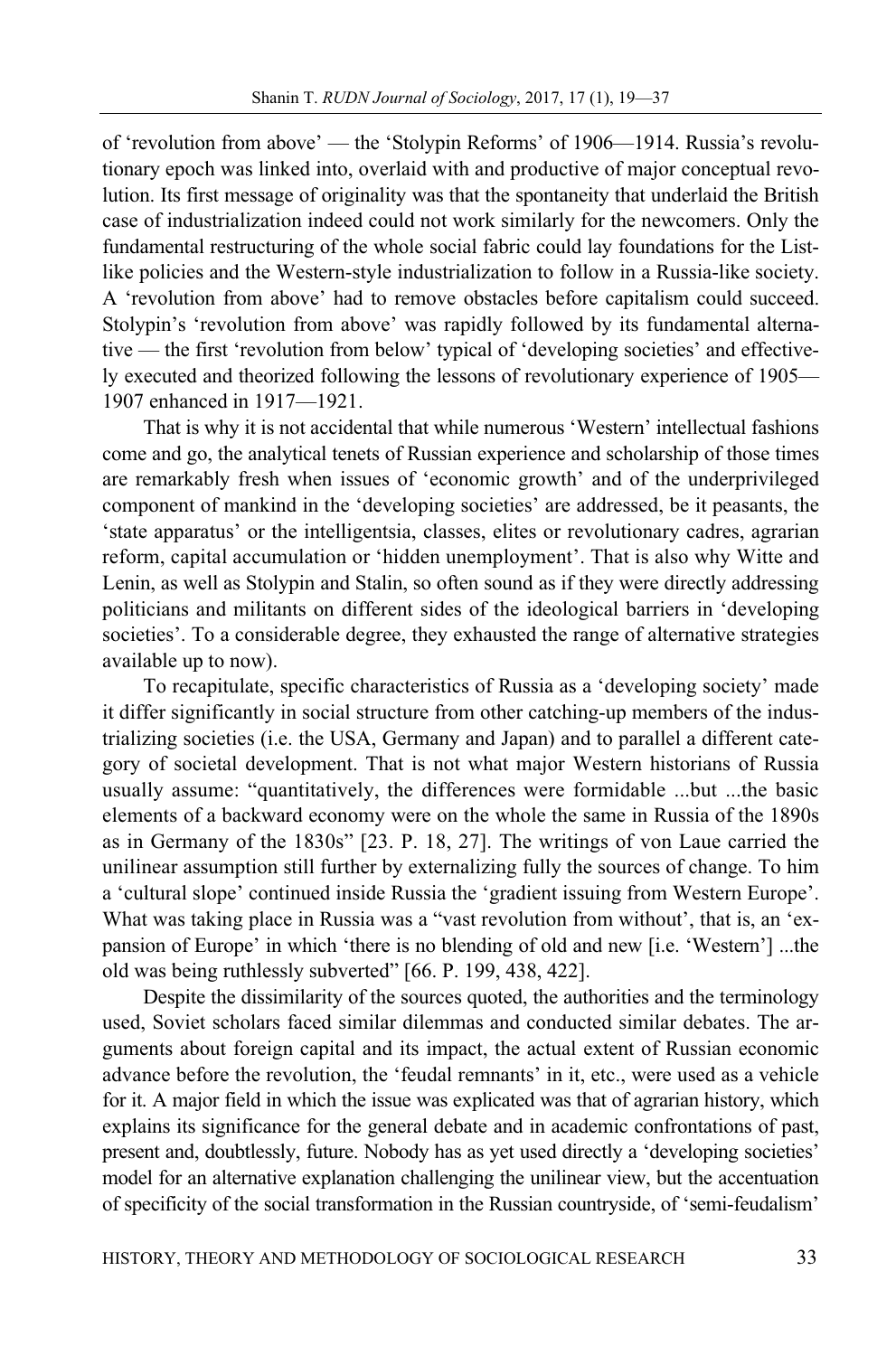of 'revolution from above' — the 'Stolypin Reforms' of 1906—1914. Russia's revolutionary epoch was linked into, overlaid with and productive of major conceptual revolution. Its first message of originality was that the spontaneity that underlaid the British case of industrialization indeed could not work similarly for the newcomers. Only the fundamental restructuring of the whole social fabric could lay foundations for the Listlike policies and the Western-style industrialization to follow in a Russia-like society. A 'revolution from above' had to remove obstacles before capitalism could succeed. Stolypin's 'revolution from above' was rapidly followed by its fundamental alternative — the first 'revolution from below' typical of 'developing societies' and effectively executed and theorized following the lessons of revolutionary experience of 1905— 1907 enhanced in 1917—1921.

That is why it is not accidental that while numerous 'Western' intellectual fashions come and go, the analytical tenets of Russian experience and scholarship of those times are remarkably fresh when issues of 'economic growth' and of the underprivileged component of mankind in the 'developing societies' are addressed, be it peasants, the 'state apparatus' or the intelligentsia, classes, elites or revolutionary cadres, agrarian reform, capital accumulation or 'hidden unemployment'. That is also why Witte and Lenin, as well as Stolypin and Stalin, so often sound as if they were directly addressing politicians and militants on different sides of the ideological barriers in 'developing societies'. To a considerable degree, they exhausted the range of alternative strategies available up to now).

To recapitulate, specific characteristics of Russia as a 'developing society' made it differ significantly in social structure from other catching-up members of the industrializing societies (i.e. the USA, Germany and Japan) and to parallel a different category of societal development. That is not what major Western historians of Russia usually assume: "quantitatively, the differences were formidable ...but ...the basic elements of a backward economy were on the whole the same in Russia of the 1890s as in Germany of the 1830s" [23. P. 18, 27]. The writings of von Laue carried the unilinear assumption still further by externalizing fully the sources of change. To him a 'cultural slope' continued inside Russia the 'gradient issuing from Western Europe'. What was taking place in Russia was a "vast revolution from without', that is, an 'expansion of Europe' in which 'there is no blending of old and new [i.e. 'Western'] ...the old was being ruthlessly subverted" [66. P. 199, 438, 422].

Despite the dissimilarity of the sources quoted, the authorities and the terminology used, Soviet scholars faced similar dilemmas and conducted similar debates. The arguments about foreign capital and its impact, the actual extent of Russian economic advance before the revolution, the 'feudal remnants' in it, etc., were used as a vehicle for it. A major field in which the issue was explicated was that of agrarian history, which explains its significance for the general debate and in academic confrontations of past, present and, doubtlessly, future. Nobody has as yet used directly a 'developing societies' model for an alternative explanation challenging the unilinear view, but the accentuation of specificity of the social transformation in the Russian countryside, of 'semi-feudalism'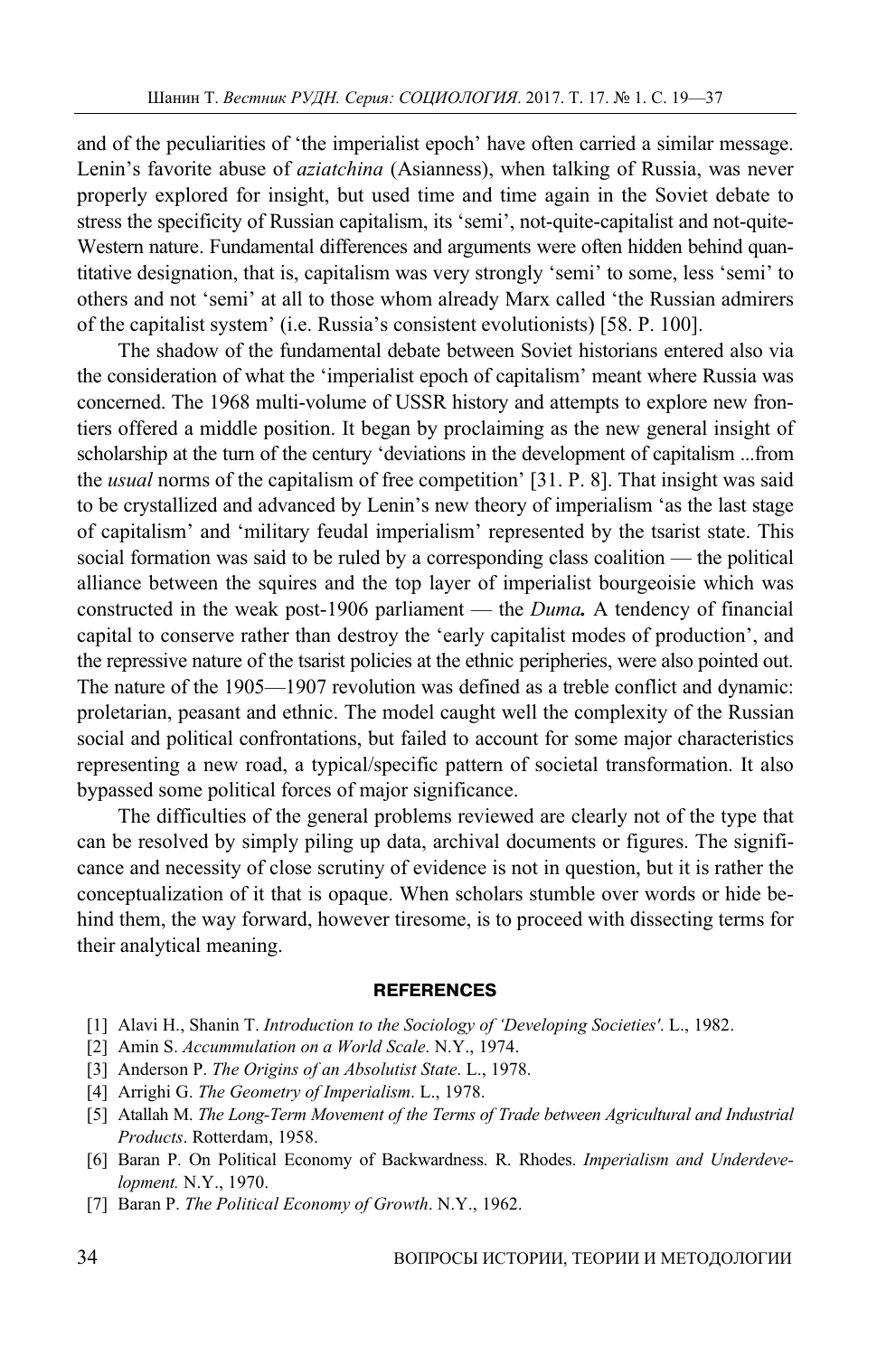and of the peculiarities of 'the imperialist epoch' have often carried a similar message. Lenin's favorite abuse of *aziatchina* (Asianness), when talking of Russia, was never properly explored for insight, but used time and time again in the Soviet debate to stress the specificity of Russian capitalism, its 'semi', not-quite-capitalist and not-quite-Western nature. Fundamental differences and arguments were often hidden behind quantitative designation, that is, capitalism was very strongly 'semi' to some, less 'semi' to others and not 'semi' at all to those whom already Marx called 'the Russian admirers of the capitalist system' (i.e. Russia's consistent evolutionists) [58. P. 100].

The shadow of the fundamental debate between Soviet historians entered also via the consideration of what the 'imperialist epoch of capitalism' meant where Russia was concerned. The 1968 multi-volume of USSR history and attempts to explore new frontiers offered a middle position. It began by proclaiming as the new general insight of scholarship at the turn of the century 'deviations in the development of capitalism ...from the *usual* norms of the capitalism of free competition' [31. P. 8]. That insight was said to be crystallized and advanced by Lenin's new theory of imperialism 'as the last stage of capitalism' and 'military feudal imperialism' represented by the tsarist state. This social formation was said to be ruled by a corresponding class coalition — the political alliance between the squires and the top layer of imperialist bourgeoisie which was constructed in the weak post-1906 parliament — the *Duma.* A tendency of financial capital to conserve rather than destroy the 'early capitalist modes of production', and the repressive nature of the tsarist policies at the ethnic peripheries, were also pointed out. The nature of the 1905—1907 revolution was defined as a treble conflict and dynamic: proletarian, peasant and ethnic. The model caught well the complexity of the Russian social and political confrontations, but failed to account for some major characteristics representing a new road, a typical/specific pattern of societal transformation. It also bypassed some political forces of major significance.

The difficulties of the general problems reviewed are clearly not of the type that can be resolved by simply piling up data, archival documents or figures. The significance and necessity of close scrutiny of evidence is not in question, but it is rather the conceptualization of it that is opaque. When scholars stumble over words or hide behind them, the way forward, however tiresome, is to proceed with dissecting terms for their analytical meaning.

#### **REFERENCES**

- [1] Alavi H., Shanin T. *Introduction to the Sociology of 'Developing Societies'*. L., 1982.
- [2] Amin S. *Accummulation on a World Scale*. N.Y., 1974.
- [3] Anderson P. *The Origins of an Absolutist State*. L., 1978.
- [4] Arrighi G. *The Geometry of Imperialism*. L., 1978.
- [5] Atallah M. *The Long-Term Movement of the Terms of Trade between Agricultural and Industrial Products*. Rotterdam, 1958.
- [6] Baran P. On Political Economy of Backwardness. R. Rhodes. *Imperialism and Underdevelopment.* N.Y., 1970.
- [7] Baran P. *The Political Economy of Growth*. N.Y., 1962.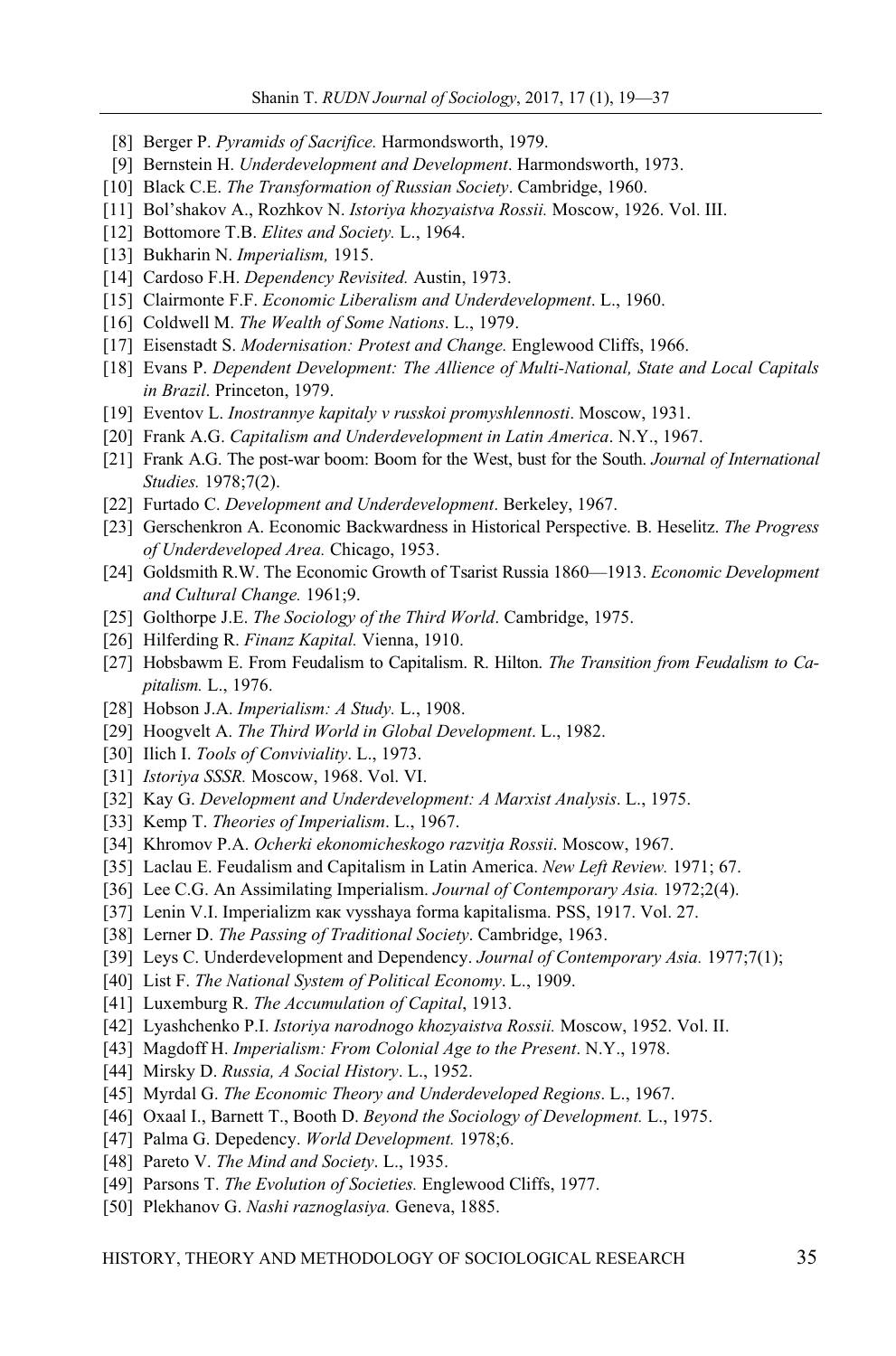- [8] Berger P. *Pyramids of Sacrifice.* Harmondsworth, 1979.
- [9] Bernstein H. *Underdevelopment and Development*. Harmondsworth, 1973.
- [10] Black C.E. *The Transformation of Russian Society*. Cambridge, 1960.
- [11] Bol'shakov A., Rozhkov N. *Istoriya khozyaistva Rossii.* Moscow, 1926. Vol. III.
- [12] Bottomore T.B. *Elites and Society.* L., 1964.
- [13] Bukharin N. *Imperialism,* 1915.
- [14] Cardoso F.H. *Dependency Revisited.* Austin, 1973.
- [15] Clairmonte F.F. *Economic Liberalism and Underdevelopment*. L., 1960.
- [16] Coldwell M. *The Wealth of Some Nations*. L., 1979.
- [17] Eisenstadt S. *Modernisation: Protest and Change.* Englewood Cliffs, 1966.
- [18] Evans P. *Dependent Development: The Allience of Multi-National, State and Local Capitals in Brazil*. Princeton, 1979.
- [19] Eventov L. *Inostrannye kapitaly v russkoi promyshlennosti*. Moscow, 1931.
- [20] Frank A.G. *Capitalism and Underdevelopment in Latin America*. N.Y., 1967.
- [21] Frank A.G. The post-war boom: Boom for the West, bust for the South. *Journal of International Studies.* 1978;7(2).
- [22] Furtado C. *Development and Underdevelopment*. Berkeley, 1967.
- [23] Gerschenkron A. Economic Backwardness in Historical Perspective. B. Heselitz. *The Progress of Underdeveloped Area.* Chicago, 1953.
- [24] Goldsmith R.W. The Economic Growth of Tsarist Russia 1860—1913. *Economic Development and Cultural Change.* 1961;9.
- [25] Golthorpe J.E. *The Sociology of the Third World*. Cambridge, 1975.
- [26] Hilferding R. *Finanz Kapital.* Vienna, 1910.
- [27] Hobsbawm E. From Feudalism to Capitalism. R. Hilton. *The Transition from Feudalism to Capitalism.* L., 1976.
- [28] Hobson J.A. *Imperialism: A Study.* L., 1908.
- [29] Hoogvelt A. *The Third World in Global Development*. L., 1982.
- [30] Ilich I. *Tools of Conviviality*. L., 1973.
- [31] *Istoriya SSSR.* Moscow, 1968. Vol. VI.
- [32] Kay G. *Development and Underdevelopment: A Marxist Analysis*. L., 1975.
- [33] Kemp T. *Theories of Imperialism*. L., 1967.
- [34] Khromov P.A. *Ocherki ekonomicheskogo razvitja Rossii*. Moscow, 1967.
- [35] Laclau E. Feudalism and Capitalism in Latin America. *New Left Review.* 1971; 67.
- [36] Lee C.G. An Assimilating Imperialism. *Journal of Contemporary Asia.* 1972;2(4).
- [37] Lenin V.I. Imperializm как vysshaya forma kapitalisma. PSS, 1917. Vol. 27.
- [38] Lerner D. *The Passing of Traditional Society*. Cambridge, 1963.
- [39] Leys C. Underdevelopment and Dependency. *Journal of Contemporary Asia.* 1977;7(1);
- [40] List F. *The National System of Political Economy*. L., 1909.
- [41] Luxemburg R. *The Accumulation of Capital*, 1913.
- [42] Lyashchenko P.I. *Istoriya narodnogo khozyaistva Rossii.* Moscow, 1952. Vol. II.
- [43] Magdoff H. *Imperialism: From Colonial Age to the Present*. N.Y., 1978.
- [44] Mirsky D. *Russia, A Social History*. L., 1952.
- [45] Myrdal G. *The Economic Theory and Underdeveloped Regions*. L., 1967.
- [46] Oxaal I., Barnett T., Booth D. *Beyond the Sociology of Development.* L., 1975.
- [47] Palma G. Depedency. *World Development.* 1978;6.
- [48] Pareto V. *The Mind and Society*. L., 1935.
- [49] Parsons T. *The Evolution of Societies.* Englewood Cliffs, 1977.
- [50] Plekhanov G. *Nashi raznoglasiya.* Geneva, 1885.

HISTORY, THEORY AND METHODOLOGY OF SOCIOLOGICAL RESEARCH 35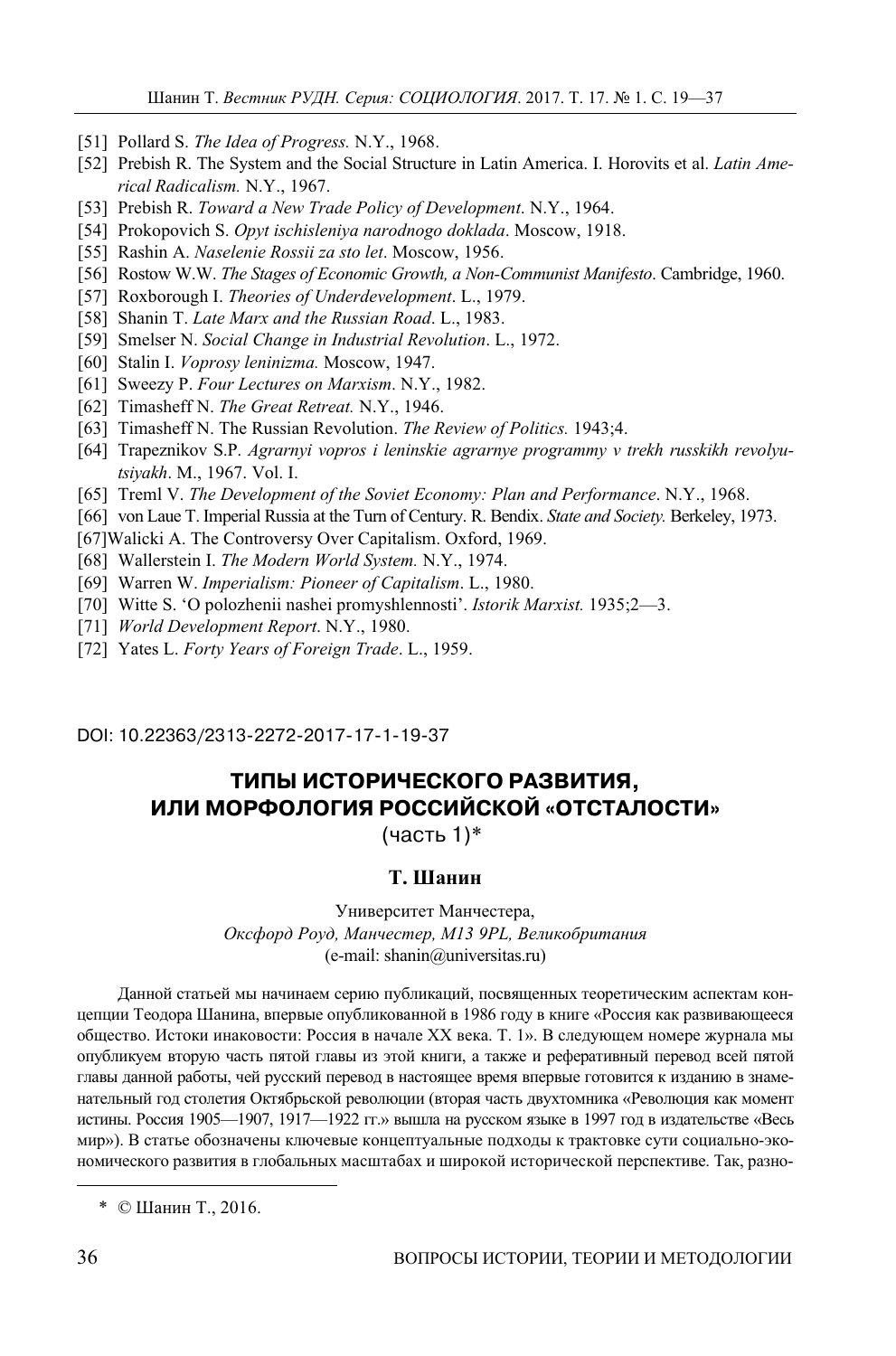- [51] Pollard S. *The Idea of Progress.* N.Y., 1968.
- [52] Prebish R. The System and the Social Structure in Latin America. I. Horovits et al. *Latin Americal Radicalism.* N.Y., 1967.
- [53] Prebish R. *Toward a New Trade Policy of Development*. N.Y., 1964.
- [54] Prokopovich S. *Opyt ischisleniya narodnogo doklada*. Moscow, 1918.
- [55] Rashin A. *Naselenie Rossii za sto let*. Moscow, 1956.
- [56] Rostow W.W. *The Stages of Economic Growth, a Non-Communist Manifesto*. Cambridge, 1960.
- [57] Roxborough I. *Theories of Underdevelopment*. L., 1979.
- [58] Shanin T. *Late Marx and the Russian Road*. L., 1983.
- [59] Smelser N. *Social Change in Industrial Revolution*. L., 1972.
- [60] Stalin I. *Voprosy leninizma.* Moscow, 1947.
- [61] Sweezy P. *Four Lectures on Marxism*. N.Y., 1982.
- [62] Timasheff N. *The Great Retreat.* N.Y., 1946.
- [63] Timasheff N. The Russian Revolution. *The Review of Politics.* 1943;4.
- [64] Trapeznikov S.P. *Agrarnyi vopros i leninskie agrarnye programmy v trekh russkikh revolyutsiyakh*. M., 1967. Vol. I.
- [65] Treml V. *The Development of the Soviet Economy: Plan and Performance*. N.Y., 1968.
- [66] von Laue T. Imperial Russia at the Turn of Century. R. Bendix. *State and Society.* Berkeley, 1973.
- [67]Walicki A. The Controversy Over Capitalism. Oxford, 1969.
- [68] Wallerstein I. *The Modern World System.* N.Y., 1974.
- [69] Warren W. *Imperialism: Pioneer of Capitalism*. L., 1980.
- [70] Witte S. 'O polozhenii nashei promyshlennosti'. *Istorik Marxist.* 1935;2—3.
- [71] *World Development Report*. N.Y., 1980.
- [72] Yates L. *Forty Years of Foreign Trade*. L., 1959.

DOI: 10.22363/2313-2272-2017-17-1-19-37

# **ТИПЫ ИСТОРИЧЕСКОГО РАЗВИТИЯ, ИЛИ МОРФОЛОГИЯ РОССИЙСКОЙ «ОТСТАЛОСТИ»**

(часть 1)\* **2**

### **Т. Шанин**

Университет Манчестера, *Оксфорд Роуд, Манчестер, M13 9PL, Великобритания*  (e-mail: shanin@universitas.ru)

Данной статьей мы начинаем серию публикаций, посвященных теоретическим аспектам концепции Теодора Шанина, впервые опубликованной в 1986 году в книге «Россия как развивающееся общество. Истоки инаковости: Россия в начале ХХ века. Т. 1». В следующем номере журнала мы опубликуем вторую часть пятой главы из этой книги, а также и реферативный перевод всей пятой главы данной работы, чей русский перевод в настоящее время впервые готовится к изданию в знаменательный год столетия Октябрьской революции (вторая часть двухтомника «Революция как момент истины. Россия 1905—1907, 1917—1922 гг.» вышла на русском языке в 1997 год в издательстве «Весь мир»). В статье обозначены ключевые концептуальные подходы к трактовке сути социально-экономического развития в глобальных масштабах и широкой исторической перспективе. Так, разно-

\* © Шанин Т., 2016.

 $\overline{a}$